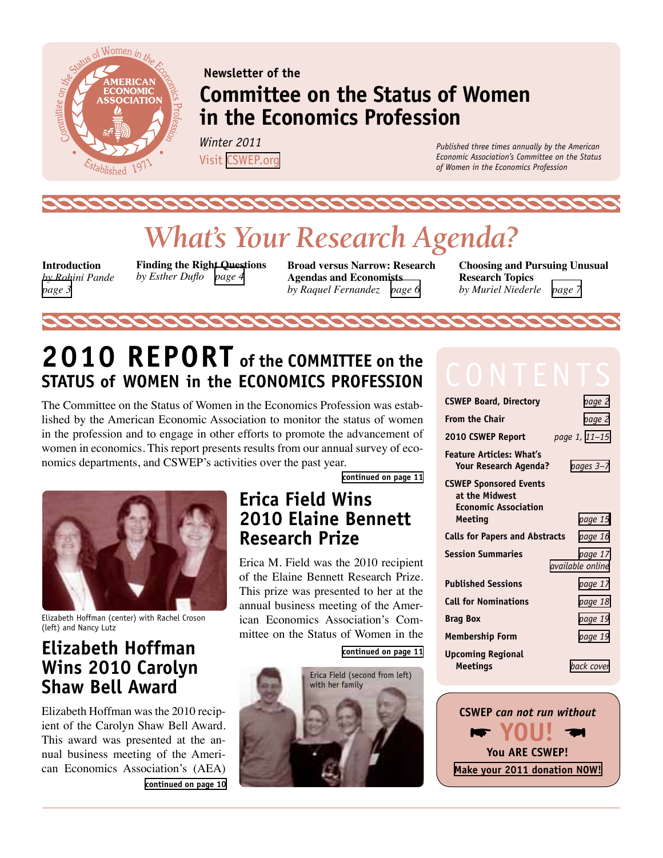<span id="page-0-0"></span>

## **Newsletter of the Committee on the Status of Women in the Economics Profession**

*Winter 2011*  Visit [CSWEP.org](http://cswep.org)

*Published three times annually by the American Economic Association's Committee on the Status of Women in the Economics Profession*

# *What's Your Research Agenda?*

**Introduction**  *by Rohini Pande [page 3](#page-2-0)* 

**Finding the Right Questions** *by Esther Duflo [page 4](#page-3-0)*

**Broad versus Narrow: Research Agendas and Economists**  *by Raquel Fernandez [page 6](#page-5-0)*

**Choosing and Pursuing Unusual Research Topics** *by Muriel Niederle [page 7](#page-6-0)*

## **2010 Report of the Committee on the Status of Women in the Economics Profession**

The Committee on the Status of Women in the Economics Profession was established by the American Economic Association to monitor the status of women in the profession and to engage in other efforts to promote the advancement of women in economics. This report presents results from our annual survey of economics departments, and CSWEP's activities over the past year.



Elizabeth Hoffman (center) with Rachel Croson (left) and Nancy Lutz

## **Elizabeth Hoffman Wins 2010 Carolyn Shaw Bell Award**

Elizabeth Hoffman was the 2010 recipient of the Carolyn Shaw Bell Award. This award was presented at the annual business meeting of the American Economics Association's (AEA) **[continued on page 10](#page-9-0)** **[continued on page 11](#page-10-0)**

## **Erica Field Wins 2010 Elaine Bennett Research Prize**

Erica M. Field was the 2010 recipient of the Elaine Bennett Research Prize. This prize was presented to her at the annual business meeting of the American Economics Association's Committee on the Status of Women in the

**[continued on page 11](#page-10-0)**



| <b>CSWEP Board, Directory</b>                                                             | page 2                      |
|-------------------------------------------------------------------------------------------|-----------------------------|
| <b>From the Chair</b>                                                                     | page 2                      |
| 2010 CSWEP Report                                                                         | page 1, 11-15               |
| <b>Feature Articles: What's</b><br><b>Your Research Agenda?</b>                           | pages 3-7                   |
| <b>CSWEP Sponsored Events</b><br>at the Midwest<br><b>Economic Association</b><br>Meeting | page 15                     |
|                                                                                           |                             |
| <b>Calls for Papers and Abstracts</b>                                                     | page 16                     |
| <b>Session Summaries</b>                                                                  | page 17<br>available online |
| <b>Published Sessions</b>                                                                 | page 17                     |
| <b>Call for Nominations</b>                                                               | page 18                     |
| <b>Brag Box</b>                                                                           | page 19                     |
| <b>Membership Form</b>                                                                    | page 19                     |
| <b>Upcoming Regional</b><br>Meetings                                                      | back cover                  |

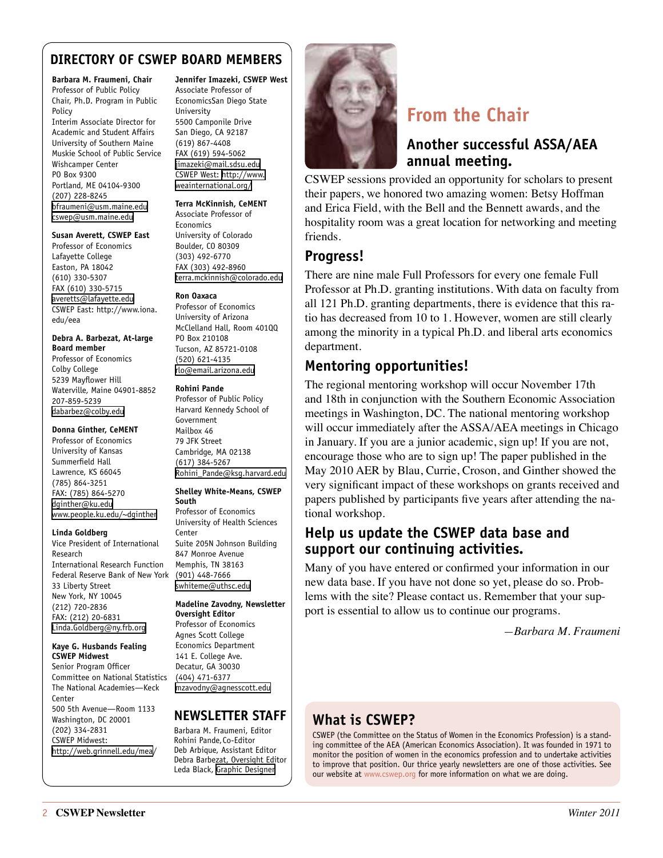### <span id="page-1-0"></span>**DIRECTORY OF CSWEP BOARD MEMBERS**

#### **Barbara M. Fraumeni, Chair**

Professor of Public Policy Chair, Ph.D. Program in Public Policy Interim Associate Director for Academic and Student Affairs University of Southern Maine Muskie School of Public Service Wishcamper Center PO Box 9300 Portland, ME 04104-9300 (207) 228-8245 [bfraumeni@usm.maine.edu](mailto:bfraumeni@usm.maine.edu) [cswep@usm.maine.edu](mailto:cswep@usm.maine.edu)

#### **Susan Averett, CSWEP East**

Professor of Economics Lafayette College Easton, PA 18042 (610) 330-5307 FAX (610) 330-5715 [averetts@lafayette.edu](mailto:averetts@lafayette.edu) CSWEP East: [http://www.iona.](http://www.iona.edu/eea) [edu/eea](http://www.iona.edu/eea)

#### **Debra A. Barbezat, At-large Board member**

Professor of Economics Colby College 5239 Mayflower Hill Waterville, Maine 04901-8852 207-859-5239 [dabarbez@colby.edu](mailto:dabarbez@colby.edu)

#### **Donna Ginther, CeMENT**

Professor of Economics University of Kansas Summerfield Hall Lawrence, KS 66045 (785) 864-3251 FAX: (785) 864-5270 [dginther@ku.edu](mailto:dginther@ku.edu) [www.people.ku.edu/~dginther](http://www.people.ku.edu/~dginther)

#### **Linda Goldberg**

Vice President of International Research International Research Function Federal Reserve Bank of New York 33 Liberty Street New York, NY 10045 (212) 720-2836 FAX: (212) 20-6831 [Linda.Goldberg@ny.frb.org](mailto:Linda.Goldberg@ny.frb.org)

#### **Kaye G. Husbands Fealing CSWEP Midwest**

Senior Program Officer Committee on National Statistics The National Academies—Keck Center 500 5th Avenue—Room 1133 Washington, DC 20001 (202) 334-2831 CSWEP Midwest: [http://web.grinnell.edu/mea](http://web.grinnell.edu/mea/)/

#### **Jennifer Imazeki, CSWEP West** Associate Professor of EconomicsSan Diego State

University 5500 Camponile Drive San Diego, CA 92187 (619) 867-4408 FAX (619) 594-5062 [jimazeki@mail.sdsu.edu](mailto:jimazeki@mail.sdsu.edu) CSWEP West: [http://www.](http://www.weainternational.org/) [weainternational.org/](http://www.weainternational.org/)

#### **Terra McKinnish, CeMENT**

Associate Professor of Economics University of Colorado Boulder, CO 80309 (303) 492-6770 FAX (303) 492-8960 [terra.mckinnish@colorado.edu](mailto:terra.mckinnish@colorado.edu)

#### **Ron Oaxaca**

Professor of Economics University of Arizona McClelland Hall, Room 401QQ PO Box 210108 Tucson, AZ 85721-0108 (520) 621-4135 [rlo@email.arizona.edu](mailto:rlo@email.arizona.edu)

#### **Rohini Pande**

Professor of Public Policy Harvard Kennedy School of Government Mailbox 46 79 JFK Street Cambridge, MA 02138 (617) 384-5267 [Rohini\\_Pande@ksg.harvard.edu](mailto:Rohini_Pande@ksg.harvard.edu)

#### **Shelley White-Means, CSWEP South**

Professor of Economics University of Health Sciences Center Suite 205N Johnson Building 847 Monroe Avenue Memphis, TN 38163 (901) 448-7666 [swhiteme@uthsc.edu](mailto:swhiteme%40uthsc.edu?subject=)

#### **Madeline Zavodny, Newsletter Oversight Editor**

Professor of Economics Agnes Scott College Economics Department 141 E. College Ave. Decatur, GA 30030 (404) 471-6377 [mzavodny@agnesscott.edu](mailto:mzavodny%40agnesscott.edu?subject=)

### **NEWSLETTER STAFF**

Barbara M. Fraumeni, Editor Rohini Pande, Co-Editor Deb Arbique, Assistant Editor Debra Barbezat, Oversight Editor Leda Black, [Graphic Designer](http://lblackimp.com)



## **From the Chair**

### **Another successful ASSA/AEA annual meeting.**

CSWEP sessions provided an opportunity for scholars to present their papers, we honored two amazing women: Betsy Hoffman and Erica Field, with the Bell and the Bennett awards, and the hospitality room was a great location for networking and meeting friends.

### **Progress!**

There are nine male Full Professors for every one female Full Professor at Ph.D. granting institutions. With data on faculty from all 121 Ph.D. granting departments, there is evidence that this ratio has decreased from 10 to 1. However, women are still clearly among the minority in a typical Ph.D. and liberal arts economics department.

### **Mentoring opportunities!**

The regional mentoring workshop will occur November 17th and 18th in conjunction with the Southern Economic Association meetings in Washington, DC. The national mentoring workshop will occur immediately after the ASSA/AEA meetings in Chicago in January. If you are a junior academic, sign up! If you are not, encourage those who are to sign up! The paper published in the May 2010 AER by Blau, Currie, Croson, and Ginther showed the very significant impact of these workshops on grants received and papers published by participants five years after attending the national workshop.

### **Help us update the CSWEP data base and support our continuing activities.**

Many of you have entered or confirmed your information in our new data base. If you have not done so yet, please do so. Problems with the site? Please contact us. Remember that your support is essential to allow us to continue our programs.

*—Barbara M. Fraumeni*

## **What is CSWEP?**

CSWEP (the Committee on the Status of Women in the Economics Profession) is a standing committee of the AEA (American Economics Association). It was founded in 1971 to monitor the position of women in the economics profession and to undertake activities to improve that position. Our thrice yearly newsletters are one of those activities. See our website at [www.cswep.org](http://www.cswep.org) for more information on what we are doing.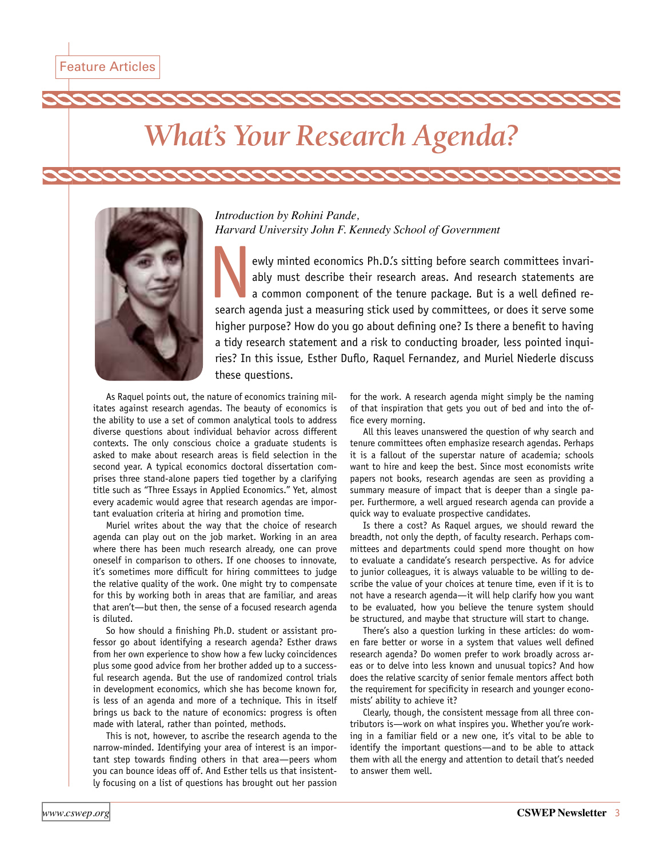# <span id="page-2-0"></span>*What's Your Research Agenda?*



*Introduction by Rohini Pande, Harvard University John F. Kennedy School of Government*

ewly minted economics Ph.D.'s sitting before search committees invariably must describe their research areas. And research statements are a common component of the tenure package. But is a well defined research agenda just a measuring stick used by committees, or does it serve some higher purpose? How do you go about defining one? Is there a benefit to having a tidy research statement and a risk to conducting broader, less pointed inquiries? In this issue, Esther Duflo, Raquel Fernandez, and Muriel Niederle discuss these questions.

As Raquel points out, the nature of economics training militates against research agendas. The beauty of economics is the ability to use a set of common analytical tools to address diverse questions about individual behavior across different contexts. The only conscious choice a graduate students is asked to make about research areas is field selection in the second year. A typical economics doctoral dissertation comprises three stand-alone papers tied together by a clarifying title such as "Three Essays in Applied Economics." Yet, almost every academic would agree that research agendas are important evaluation criteria at hiring and promotion time.

Muriel writes about the way that the choice of research agenda can play out on the job market. Working in an area where there has been much research already, one can prove oneself in comparison to others. If one chooses to innovate, it's sometimes more difficult for hiring committees to judge the relative quality of the work. One might try to compensate for this by working both in areas that are familiar, and areas that aren't—but then, the sense of a focused research agenda is diluted.

So how should a finishing Ph.D. student or assistant professor go about identifying a research agenda? Esther draws from her own experience to show how a few lucky coincidences plus some good advice from her brother added up to a successful research agenda. But the use of randomized control trials in development economics, which she has become known for, is less of an agenda and more of a technique. This in itself brings us back to the nature of economics: progress is often made with lateral, rather than pointed, methods.

This is not, however, to ascribe the research agenda to the narrow-minded. Identifying your area of interest is an important step towards finding others in that area—peers whom you can bounce ideas off of. And Esther tells us that insistently focusing on a list of questions has brought out her passion

for the work. A research agenda might simply be the naming of that inspiration that gets you out of bed and into the office every morning.

All this leaves unanswered the question of why search and tenure committees often emphasize research agendas. Perhaps it is a fallout of the superstar nature of academia; schools want to hire and keep the best. Since most economists write papers not books, research agendas are seen as providing a summary measure of impact that is deeper than a single paper. Furthermore, a well argued research agenda can provide a quick way to evaluate prospective candidates.

Is there a cost? As Raquel argues, we should reward the breadth, not only the depth, of faculty research. Perhaps committees and departments could spend more thought on how to evaluate a candidate's research perspective. As for advice to junior colleagues, it is always valuable to be willing to describe the value of your choices at tenure time, even if it is to not have a research agenda—it will help clarify how you want to be evaluated, how you believe the tenure system should be structured, and maybe that structure will start to change.

There's also a question lurking in these articles: do women fare better or worse in a system that values well defined research agenda? Do women prefer to work broadly across areas or to delve into less known and unusual topics? And how does the relative scarcity of senior female mentors affect both the requirement for specificity in research and younger economists' ability to achieve it?

Clearly, though, the consistent message from all three contributors is—work on what inspires you. Whether you're working in a familiar field or a new one, it's vital to be able to identify the important questions—and to be able to attack them with all the energy and attention to detail that's needed to answer them well.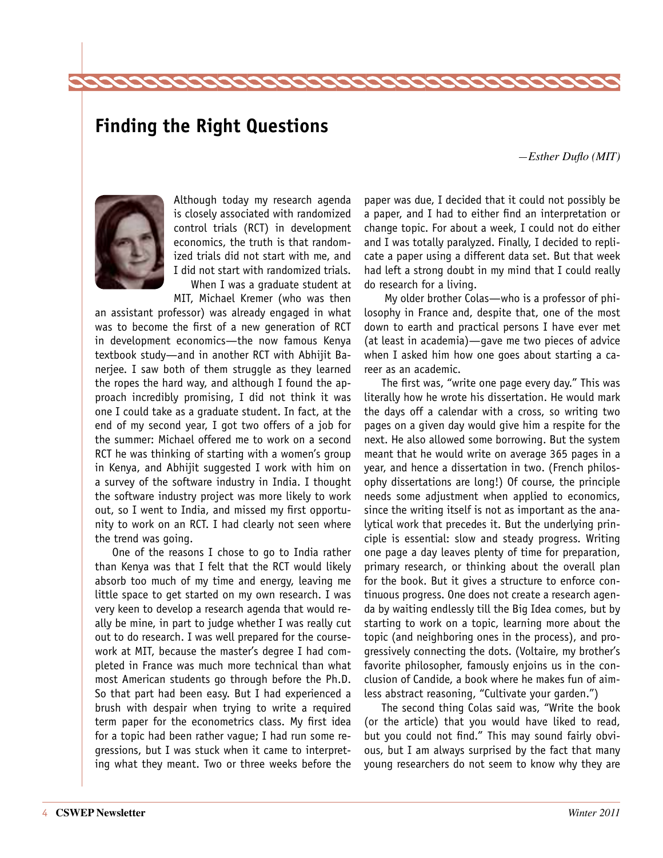## <span id="page-3-0"></span>**Finding the Right Questions**

*—Esther Duflo (MIT)*



Although today my research agenda is closely associated with randomized control trials (RCT) in development economics, the truth is that randomized trials did not start with me, and I did not start with randomized trials.

When I was a graduate student at MIT, Michael Kremer (who was then

an assistant professor) was already engaged in what was to become the first of a new generation of RCT in development economics—the now famous Kenya textbook study—and in another RCT with Abhijit Banerjee. I saw both of them struggle as they learned the ropes the hard way, and although I found the approach incredibly promising, I did not think it was one I could take as a graduate student. In fact, at the end of my second year, I got two offers of a job for the summer: Michael offered me to work on a second RCT he was thinking of starting with a women's group in Kenya, and Abhijit suggested I work with him on a survey of the software industry in India. I thought the software industry project was more likely to work out, so I went to India, and missed my first opportunity to work on an RCT. I had clearly not seen where the trend was going.

One of the reasons I chose to go to India rather than Kenya was that I felt that the RCT would likely absorb too much of my time and energy, leaving me little space to get started on my own research. I was very keen to develop a research agenda that would really be mine, in part to judge whether I was really cut out to do research. I was well prepared for the coursework at MIT, because the master's degree I had completed in France was much more technical than what most American students go through before the Ph.D. So that part had been easy. But I had experienced a brush with despair when trying to write a required term paper for the econometrics class. My first idea for a topic had been rather vague; I had run some regressions, but I was stuck when it came to interpreting what they meant. Two or three weeks before the

paper was due, I decided that it could not possibly be a paper, and I had to either find an interpretation or change topic. For about a week, I could not do either and I was totally paralyzed. Finally, I decided to replicate a paper using a different data set. But that week had left a strong doubt in my mind that I could really do research for a living.

 My older brother Colas—who is a professor of philosophy in France and, despite that, one of the most down to earth and practical persons I have ever met (at least in academia)—gave me two pieces of advice when I asked him how one goes about starting a career as an academic.

The first was, "write one page every day." This was literally how he wrote his dissertation. He would mark the days off a calendar with a cross, so writing two pages on a given day would give him a respite for the next. He also allowed some borrowing. But the system meant that he would write on average 365 pages in a year, and hence a dissertation in two. (French philosophy dissertations are long!) Of course, the principle needs some adjustment when applied to economics, since the writing itself is not as important as the analytical work that precedes it. But the underlying principle is essential: slow and steady progress. Writing one page a day leaves plenty of time for preparation, primary research, or thinking about the overall plan for the book. But it gives a structure to enforce continuous progress. One does not create a research agenda by waiting endlessly till the Big Idea comes, but by starting to work on a topic, learning more about the topic (and neighboring ones in the process), and progressively connecting the dots. (Voltaire, my brother's favorite philosopher, famously enjoins us in the conclusion of Candide, a book where he makes fun of aimless abstract reasoning, "Cultivate your garden.")

The second thing Colas said was, "Write the book (or the article) that you would have liked to read, but you could not find." This may sound fairly obvious, but I am always surprised by the fact that many young researchers do not seem to know why they are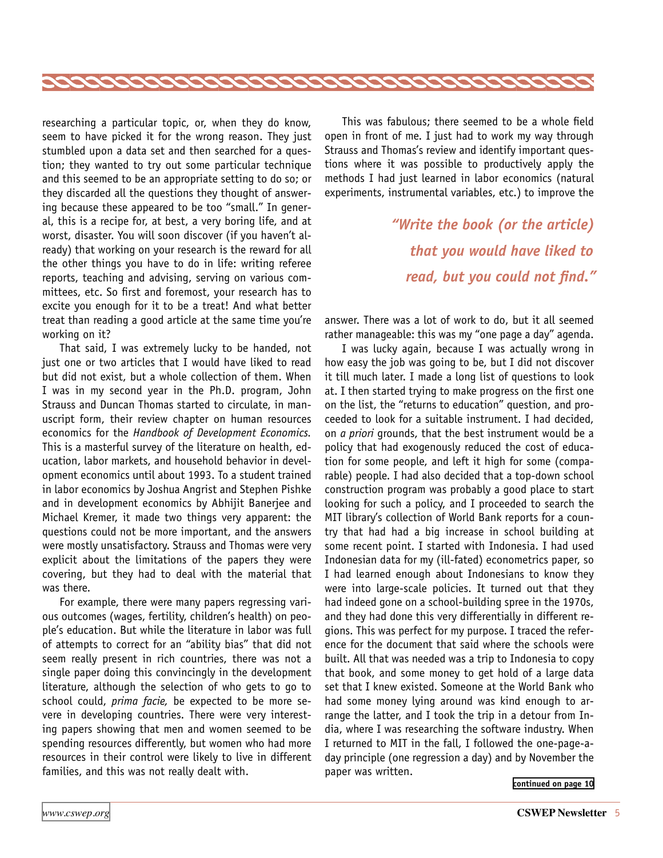<span id="page-4-0"></span>

researching a particular topic, or, when they do know, seem to have picked it for the wrong reason. They just stumbled upon a data set and then searched for a question; they wanted to try out some particular technique and this seemed to be an appropriate setting to do so; or they discarded all the questions they thought of answering because these appeared to be too "small." In general, this is a recipe for, at best, a very boring life, and at worst, disaster. You will soon discover (if you haven't already) that working on your research is the reward for all the other things you have to do in life: writing referee reports, teaching and advising, serving on various committees, etc. So first and foremost, your research has to excite you enough for it to be a treat! And what better treat than reading a good article at the same time you're working on it?

That said, I was extremely lucky to be handed, not just one or two articles that I would have liked to read but did not exist, but a whole collection of them. When I was in my second year in the Ph.D. program, John Strauss and Duncan Thomas started to circulate, in manuscript form, their review chapter on human resources economics for the *Handbook of Development Economics.*  This is a masterful survey of the literature on health, education, labor markets, and household behavior in development economics until about 1993. To a student trained in labor economics by Joshua Angrist and Stephen Pishke and in development economics by Abhijit Banerjee and Michael Kremer, it made two things very apparent: the questions could not be more important, and the answers were mostly unsatisfactory. Strauss and Thomas were very explicit about the limitations of the papers they were covering, but they had to deal with the material that was there.

For example, there were many papers regressing various outcomes (wages, fertility, children's health) on people's education. But while the literature in labor was full of attempts to correct for an "ability bias" that did not seem really present in rich countries, there was not a single paper doing this convincingly in the development literature, although the selection of who gets to go to school could, *prima facie,* be expected to be more severe in developing countries. There were very interesting papers showing that men and women seemed to be spending resources differently, but women who had more resources in their control were likely to live in different families, and this was not really dealt with.

This was fabulous; there seemed to be a whole field open in front of me. I just had to work my way through Strauss and Thomas's review and identify important questions where it was possible to productively apply the methods I had just learned in labor economics (natural experiments, instrumental variables, etc.) to improve the

> *"Write the book (or the article) that you would have liked to read, but you could not find."*

answer. There was a lot of work to do, but it all seemed rather manageable: this was my "one page a day" agenda.

I was lucky again, because I was actually wrong in how easy the job was going to be, but I did not discover it till much later. I made a long list of questions to look at. I then started trying to make progress on the first one on the list, the "returns to education" question, and proceeded to look for a suitable instrument. I had decided, on *a priori* grounds, that the best instrument would be a policy that had exogenously reduced the cost of education for some people, and left it high for some (comparable) people. I had also decided that a top-down school construction program was probably a good place to start looking for such a policy, and I proceeded to search the MIT library's collection of World Bank reports for a country that had had a big increase in school building at some recent point. I started with Indonesia. I had used Indonesian data for my (ill-fated) econometrics paper, so I had learned enough about Indonesians to know they were into large-scale policies. It turned out that they had indeed gone on a school-building spree in the 1970s, and they had done this very differentially in different regions. This was perfect for my purpose. I traced the reference for the document that said where the schools were built. All that was needed was a trip to Indonesia to copy that book, and some money to get hold of a large data set that I knew existed. Someone at the World Bank who had some money lying around was kind enough to arrange the latter, and I took the trip in a detour from India, where I was researching the software industry. When I returned to MIT in the fall, I followed the one-page-aday principle (one regression a day) and by November the paper was written.

**[continued on page 10](#page-9-0)**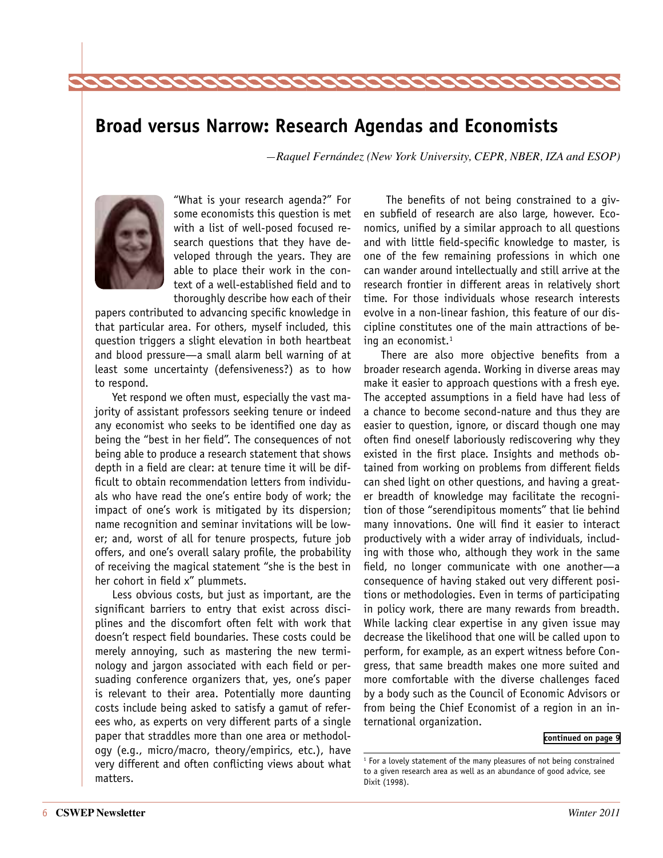<span id="page-5-0"></span>

## **Broad versus Narrow: Research Agendas and Economists**

*—Raquel Fernández (New York University, CEPR, NBER, IZA and ESOP)*



"What is your research agenda?" For some economists this question is met with a list of well-posed focused research questions that they have developed through the years. They are able to place their work in the context of a well-established field and to thoroughly describe how each of their

papers contributed to advancing specific knowledge in that particular area. For others, myself included, this question triggers a slight elevation in both heartbeat and blood pressure—a small alarm bell warning of at least some uncertainty (defensiveness?) as to how to respond.

Yet respond we often must, especially the vast majority of assistant professors seeking tenure or indeed any economist who seeks to be identified one day as being the "best in her field". The consequences of not being able to produce a research statement that shows depth in a field are clear: at tenure time it will be difficult to obtain recommendation letters from individuals who have read the one's entire body of work; the impact of one's work is mitigated by its dispersion; name recognition and seminar invitations will be lower; and, worst of all for tenure prospects, future job offers, and one's overall salary profile, the probability of receiving the magical statement "she is the best in her cohort in field x" plummets.

Less obvious costs, but just as important, are the significant barriers to entry that exist across disciplines and the discomfort often felt with work that doesn't respect field boundaries. These costs could be merely annoying, such as mastering the new terminology and jargon associated with each field or persuading conference organizers that, yes, one's paper is relevant to their area. Potentially more daunting costs include being asked to satisfy a gamut of referees who, as experts on very different parts of a single paper that straddles more than one area or methodology (e.g., micro/macro, theory/empirics, etc.), have very different and often conflicting views about what matters.

 The benefits of not being constrained to a given subfield of research are also large, however. Economics, unified by a similar approach to all questions and with little field-specific knowledge to master, is one of the few remaining professions in which one can wander around intellectually and still arrive at the research frontier in different areas in relatively short time. For those individuals whose research interests evolve in a non-linear fashion, this feature of our discipline constitutes one of the main attractions of being an economist.<sup>1</sup>

There are also more objective benefits from a broader research agenda. Working in diverse areas may make it easier to approach questions with a fresh eye. The accepted assumptions in a field have had less of a chance to become second-nature and thus they are easier to question, ignore, or discard though one may often find oneself laboriously rediscovering why they existed in the first place. Insights and methods obtained from working on problems from different fields can shed light on other questions, and having a greater breadth of knowledge may facilitate the recognition of those "serendipitous moments" that lie behind many innovations. One will find it easier to interact productively with a wider array of individuals, including with those who, although they work in the same field, no longer communicate with one another—a consequence of having staked out very different positions or methodologies. Even in terms of participating in policy work, there are many rewards from breadth. While lacking clear expertise in any given issue may decrease the likelihood that one will be called upon to perform, for example, as an expert witness before Congress, that same breadth makes one more suited and more comfortable with the diverse challenges faced by a body such as the Council of Economic Advisors or from being the Chief Economist of a region in an international organization.

#### **[continued on page 9](#page-8-0)**

<sup>&</sup>lt;sup>1</sup> For a lovely statement of the many pleasures of not being constrained to a given research area as well as an abundance of good advice, see Dixit (1998).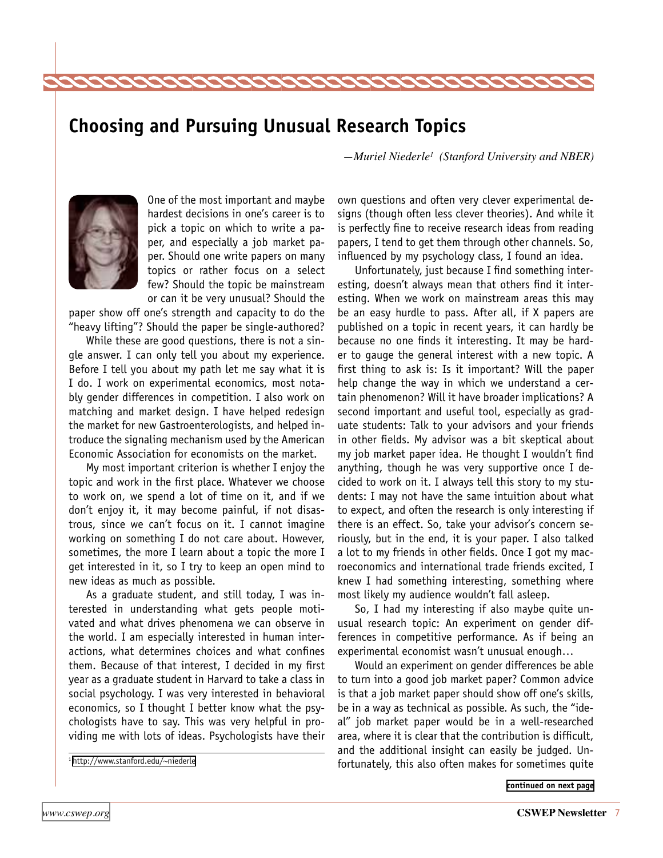## <span id="page-6-0"></span>**Choosing and Pursuing Unusual Research Topics**

*—Muriel Niederle1 (Stanford University and NBER)*



One of the most important and maybe hardest decisions in one's career is to pick a topic on which to write a paper, and especially a job market paper. Should one write papers on many topics or rather focus on a select few? Should the topic be mainstream or can it be very unusual? Should the

paper show off one's strength and capacity to do the "heavy lifting"? Should the paper be single-authored?

While these are good questions, there is not a single answer. I can only tell you about my experience. Before I tell you about my path let me say what it is I do. I work on experimental economics, most notably gender differences in competition. I also work on matching and market design. I have helped redesign the market for new Gastroenterologists, and helped introduce the signaling mechanism used by the American Economic Association for economists on the market.

My most important criterion is whether I enjoy the topic and work in the first place. Whatever we choose to work on, we spend a lot of time on it, and if we don't enjoy it, it may become painful, if not disastrous, since we can't focus on it. I cannot imagine working on something I do not care about. However, sometimes, the more I learn about a topic the more I get interested in it, so I try to keep an open mind to new ideas as much as possible.

As a graduate student, and still today, I was interested in understanding what gets people motivated and what drives phenomena we can observe in the world. I am especially interested in human interactions, what determines choices and what confines them. Because of that interest, I decided in my first year as a graduate student in Harvard to take a class in social psychology. I was very interested in behavioral economics, so I thought I better know what the psychologists have to say. This was very helpful in providing me with lots of ideas. Psychologists have their

1<http://www.stanford.edu/~niederle>

own questions and often very clever experimental designs (though often less clever theories). And while it is perfectly fine to receive research ideas from reading papers, I tend to get them through other channels. So, influenced by my psychology class, I found an idea.

Unfortunately, just because I find something interesting, doesn't always mean that others find it interesting. When we work on mainstream areas this may be an easy hurdle to pass. After all, if X papers are published on a topic in recent years, it can hardly be because no one finds it interesting. It may be harder to gauge the general interest with a new topic. A first thing to ask is: Is it important? Will the paper help change the way in which we understand a certain phenomenon? Will it have broader implications? A second important and useful tool, especially as graduate students: Talk to your advisors and your friends in other fields. My advisor was a bit skeptical about my job market paper idea. He thought I wouldn't find anything, though he was very supportive once I decided to work on it. I always tell this story to my students: I may not have the same intuition about what to expect, and often the research is only interesting if there is an effect. So, take your advisor's concern seriously, but in the end, it is your paper. I also talked a lot to my friends in other fields. Once I got my macroeconomics and international trade friends excited, I knew I had something interesting, something where most likely my audience wouldn't fall asleep.

So, I had my interesting if also maybe quite unusual research topic: An experiment on gender differences in competitive performance. As if being an experimental economist wasn't unusual enough…

Would an experiment on gender differences be able to turn into a good job market paper? Common advice is that a job market paper should show off one's skills, be in a way as technical as possible. As such, the "ideal" job market paper would be in a well-researched area, where it is clear that the contribution is difficult, and the additional insight can easily be judged. Unfortunately, this also often makes for sometimes quite

**[continued on next page](#page-7-0)**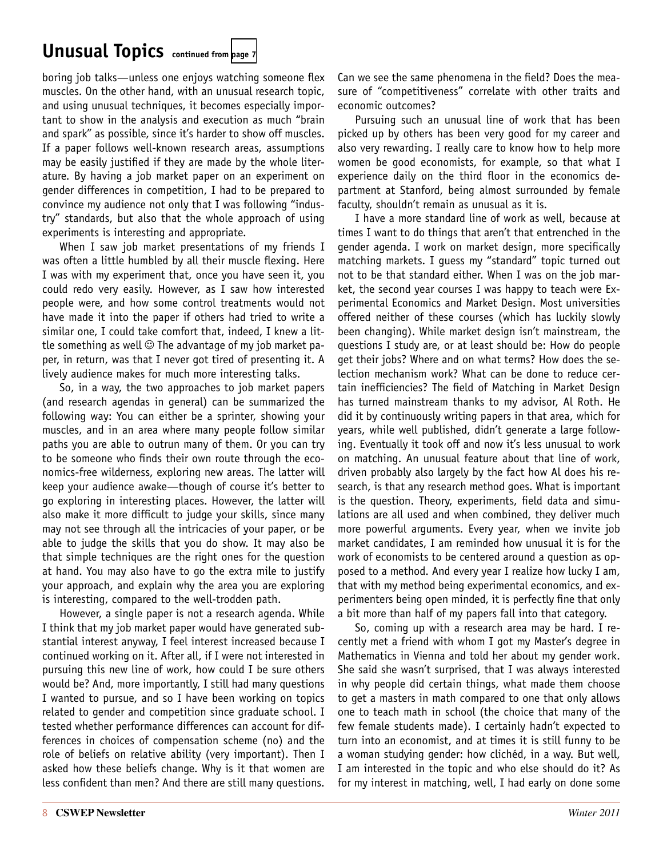## <span id="page-7-0"></span>**Unusual Topics continued from [page 7](#page-6-0)**

boring job talks—unless one enjoys watching someone flex muscles. On the other hand, with an unusual research topic, and using unusual techniques, it becomes especially important to show in the analysis and execution as much "brain and spark" as possible, since it's harder to show off muscles. If a paper follows well-known research areas, assumptions may be easily justified if they are made by the whole literature. By having a job market paper on an experiment on gender differences in competition, I had to be prepared to convince my audience not only that I was following "industry" standards, but also that the whole approach of using experiments is interesting and appropriate.

When I saw job market presentations of my friends I was often a little humbled by all their muscle flexing. Here I was with my experiment that, once you have seen it, you could redo very easily. However, as I saw how interested people were, and how some control treatments would not have made it into the paper if others had tried to write a similar one, I could take comfort that, indeed, I knew a little something as well  $\odot$  The advantage of my job market paper, in return, was that I never got tired of presenting it. A lively audience makes for much more interesting talks.

So, in a way, the two approaches to job market papers (and research agendas in general) can be summarized the following way: You can either be a sprinter, showing your muscles, and in an area where many people follow similar paths you are able to outrun many of them. Or you can try to be someone who finds their own route through the economics-free wilderness, exploring new areas. The latter will keep your audience awake—though of course it's better to go exploring in interesting places. However, the latter will also make it more difficult to judge your skills, since many may not see through all the intricacies of your paper, or be able to judge the skills that you do show. It may also be that simple techniques are the right ones for the question at hand. You may also have to go the extra mile to justify your approach, and explain why the area you are exploring is interesting, compared to the well-trodden path.

However, a single paper is not a research agenda. While I think that my job market paper would have generated substantial interest anyway, I feel interest increased because I continued working on it. After all, if I were not interested in pursuing this new line of work, how could I be sure others would be? And, more importantly, I still had many questions I wanted to pursue, and so I have been working on topics related to gender and competition since graduate school. I tested whether performance differences can account for differences in choices of compensation scheme (no) and the role of beliefs on relative ability (very important). Then I asked how these beliefs change. Why is it that women are less confident than men? And there are still many questions.

Can we see the same phenomena in the field? Does the measure of "competitiveness" correlate with other traits and economic outcomes?

Pursuing such an unusual line of work that has been picked up by others has been very good for my career and also very rewarding. I really care to know how to help more women be good economists, for example, so that what I experience daily on the third floor in the economics department at Stanford, being almost surrounded by female faculty, shouldn't remain as unusual as it is.

I have a more standard line of work as well, because at times I want to do things that aren't that entrenched in the gender agenda. I work on market design, more specifically matching markets. I guess my "standard" topic turned out not to be that standard either. When I was on the job market, the second year courses I was happy to teach were Experimental Economics and Market Design. Most universities offered neither of these courses (which has luckily slowly been changing). While market design isn't mainstream, the questions I study are, or at least should be: How do people get their jobs? Where and on what terms? How does the selection mechanism work? What can be done to reduce certain inefficiencies? The field of Matching in Market Design has turned mainstream thanks to my advisor, Al Roth. He did it by continuously writing papers in that area, which for years, while well published, didn't generate a large following. Eventually it took off and now it's less unusual to work on matching. An unusual feature about that line of work, driven probably also largely by the fact how Al does his research, is that any research method goes. What is important is the question. Theory, experiments, field data and simulations are all used and when combined, they deliver much more powerful arguments. Every year, when we invite job market candidates, I am reminded how unusual it is for the work of economists to be centered around a question as opposed to a method. And every year I realize how lucky I am, that with my method being experimental economics, and experimenters being open minded, it is perfectly fine that only a bit more than half of my papers fall into that category.

So, coming up with a research area may be hard. I recently met a friend with whom I got my Master's degree in Mathematics in Vienna and told her about my gender work. She said she wasn't surprised, that I was always interested in why people did certain things, what made them choose to get a masters in math compared to one that only allows one to teach math in school (the choice that many of the few female students made). I certainly hadn't expected to turn into an economist, and at times it is still funny to be a woman studying gender: how clichéd, in a way. But well, I am interested in the topic and who else should do it? As for my interest in matching, well, I had early on done some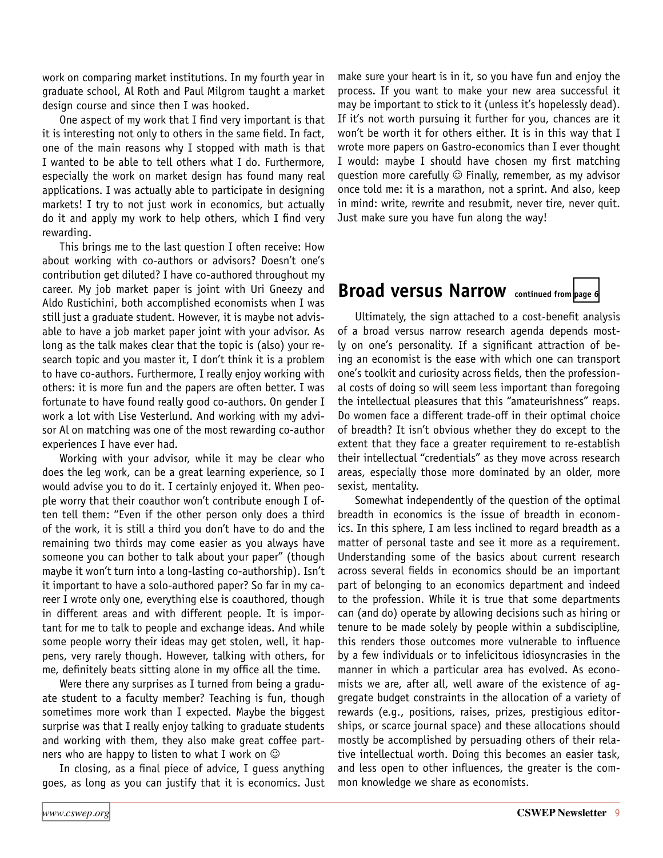<span id="page-8-0"></span>work on comparing market institutions. In my fourth year in graduate school, Al Roth and Paul Milgrom taught a market design course and since then I was hooked.

One aspect of my work that I find very important is that it is interesting not only to others in the same field. In fact, one of the main reasons why I stopped with math is that I wanted to be able to tell others what I do. Furthermore, especially the work on market design has found many real applications. I was actually able to participate in designing markets! I try to not just work in economics, but actually do it and apply my work to help others, which I find very rewarding.

This brings me to the last question I often receive: How about working with co-authors or advisors? Doesn't one's contribution get diluted? I have co-authored throughout my career. My job market paper is joint with Uri Gneezy and Aldo Rustichini, both accomplished economists when I was still just a graduate student. However, it is maybe not advisable to have a job market paper joint with your advisor. As long as the talk makes clear that the topic is (also) your research topic and you master it, I don't think it is a problem to have co-authors. Furthermore, I really enjoy working with others: it is more fun and the papers are often better. I was fortunate to have found really good co-authors. On gender I work a lot with Lise Vesterlund. And working with my advisor Al on matching was one of the most rewarding co-author experiences I have ever had.

Working with your advisor, while it may be clear who does the leg work, can be a great learning experience, so I would advise you to do it. I certainly enjoyed it. When people worry that their coauthor won't contribute enough I often tell them: "Even if the other person only does a third of the work, it is still a third you don't have to do and the remaining two thirds may come easier as you always have someone you can bother to talk about your paper" (though maybe it won't turn into a long-lasting co-authorship). Isn't it important to have a solo-authored paper? So far in my career I wrote only one, everything else is coauthored, though in different areas and with different people. It is important for me to talk to people and exchange ideas. And while some people worry their ideas may get stolen, well, it happens, very rarely though. However, talking with others, for me, definitely beats sitting alone in my office all the time.

Were there any surprises as I turned from being a graduate student to a faculty member? Teaching is fun, though sometimes more work than I expected. Maybe the biggest surprise was that I really enjoy talking to graduate students and working with them, they also make great coffee partners who are happy to listen to what I work on  $\odot$ 

In closing, as a final piece of advice, I guess anything goes, as long as you can justify that it is economics. Just

make sure your heart is in it, so you have fun and enjoy the process. If you want to make your new area successful it may be important to stick to it (unless it's hopelessly dead). If it's not worth pursuing it further for you, chances are it won't be worth it for others either. It is in this way that I wrote more papers on Gastro-economics than I ever thought I would: maybe I should have chosen my first matching question more carefully  $\odot$  Finally, remember, as my advisor once told me: it is a marathon, not a sprint. And also, keep in mind: write, rewrite and resubmit, never tire, never quit. Just make sure you have fun along the way!

## **Broad versus Narrow continued from [page 6](#page-5-0)**

Ultimately, the sign attached to a cost-benefit analysis of a broad versus narrow research agenda depends mostly on one's personality. If a significant attraction of being an economist is the ease with which one can transport one's toolkit and curiosity across fields, then the professional costs of doing so will seem less important than foregoing the intellectual pleasures that this "amateurishness" reaps. Do women face a different trade-off in their optimal choice of breadth? It isn't obvious whether they do except to the extent that they face a greater requirement to re-establish their intellectual "credentials" as they move across research areas, especially those more dominated by an older, more sexist, mentality.

Somewhat independently of the question of the optimal breadth in economics is the issue of breadth in economics. In this sphere, I am less inclined to regard breadth as a matter of personal taste and see it more as a requirement. Understanding some of the basics about current research across several fields in economics should be an important part of belonging to an economics department and indeed to the profession. While it is true that some departments can (and do) operate by allowing decisions such as hiring or tenure to be made solely by people within a subdiscipline, this renders those outcomes more vulnerable to influence by a few individuals or to infelicitous idiosyncrasies in the manner in which a particular area has evolved. As economists we are, after all, well aware of the existence of aggregate budget constraints in the allocation of a variety of rewards (e.g., positions, raises, prizes, prestigious editorships, or scarce journal space) and these allocations should mostly be accomplished by persuading others of their relative intellectual worth. Doing this becomes an easier task, and less open to other influences, the greater is the common knowledge we share as economists.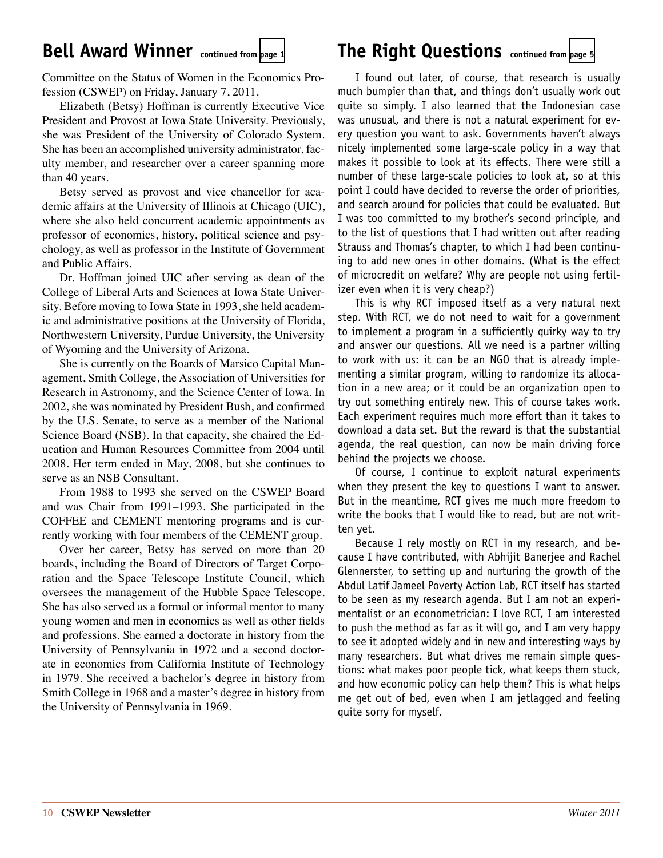## <span id="page-9-0"></span>Bell Award Winner continued from [page 1](#page-0-0) **The Right Questions** continued from [page 5](#page-4-0)

Committee on the Status of Women in the Economics Profession (CSWEP) on Friday, January 7, 2011.

Elizabeth (Betsy) Hoffman is currently Executive Vice President and Provost at Iowa State University. Previously, she was President of the University of Colorado System. She has been an accomplished university administrator, faculty member, and researcher over a career spanning more than 40 years.

Betsy served as provost and vice chancellor for academic affairs at the University of Illinois at Chicago (UIC), where she also held concurrent academic appointments as professor of economics, history, political science and psychology, as well as professor in the Institute of Government and Public Affairs.

Dr. Hoffman joined UIC after serving as dean of the College of Liberal Arts and Sciences at Iowa State University. Before moving to Iowa State in 1993, she held academic and administrative positions at the University of Florida, Northwestern University, Purdue University, the University of Wyoming and the University of Arizona.

She is currently on the Boards of Marsico Capital Management, Smith College, the Association of Universities for Research in Astronomy, and the Science Center of Iowa. In 2002, she was nominated by President Bush, and confirmed by the U.S. Senate, to serve as a member of the National Science Board (NSB). In that capacity, she chaired the Education and Human Resources Committee from 2004 until 2008. Her term ended in May, 2008, but she continues to serve as an NSB Consultant.

From 1988 to 1993 she served on the CSWEP Board and was Chair from 1991–1993. She participated in the COFFEE and CEMENT mentoring programs and is currently working with four members of the CEMENT group.

Over her career, Betsy has served on more than 20 boards, including the Board of Directors of Target Corporation and the Space Telescope Institute Council, which oversees the management of the Hubble Space Telescope. She has also served as a formal or informal mentor to many young women and men in economics as well as other fields and professions. She earned a doctorate in history from the University of Pennsylvania in 1972 and a second doctorate in economics from California Institute of Technology in 1979. She received a bachelor's degree in history from Smith College in 1968 and a master's degree in history from the University of Pennsylvania in 1969.

I found out later, of course, that research is usually much bumpier than that, and things don't usually work out quite so simply. I also learned that the Indonesian case was unusual, and there is not a natural experiment for every question you want to ask. Governments haven't always nicely implemented some large-scale policy in a way that makes it possible to look at its effects. There were still a number of these large-scale policies to look at, so at this point I could have decided to reverse the order of priorities, and search around for policies that could be evaluated. But I was too committed to my brother's second principle, and to the list of questions that I had written out after reading Strauss and Thomas's chapter, to which I had been continuing to add new ones in other domains. (What is the effect of microcredit on welfare? Why are people not using fertilizer even when it is very cheap?)

This is why RCT imposed itself as a very natural next step. With RCT, we do not need to wait for a government to implement a program in a sufficiently quirky way to try and answer our questions. All we need is a partner willing to work with us: it can be an NGO that is already implementing a similar program, willing to randomize its allocation in a new area; or it could be an organization open to try out something entirely new. This of course takes work. Each experiment requires much more effort than it takes to download a data set. But the reward is that the substantial agenda, the real question, can now be main driving force behind the projects we choose.

Of course, I continue to exploit natural experiments when they present the key to questions I want to answer. But in the meantime, RCT gives me much more freedom to write the books that I would like to read, but are not written yet.

Because I rely mostly on RCT in my research, and because I have contributed, with Abhijit Banerjee and Rachel Glennerster, to setting up and nurturing the growth of the Abdul Latif Jameel Poverty Action Lab, RCT itself has started to be seen as my research agenda. But I am not an experimentalist or an econometrician: I love RCT, I am interested to push the method as far as it will go, and I am very happy to see it adopted widely and in new and interesting ways by many researchers. But what drives me remain simple questions: what makes poor people tick, what keeps them stuck, and how economic policy can help them? This is what helps me get out of bed, even when I am jetlagged and feeling quite sorry for myself.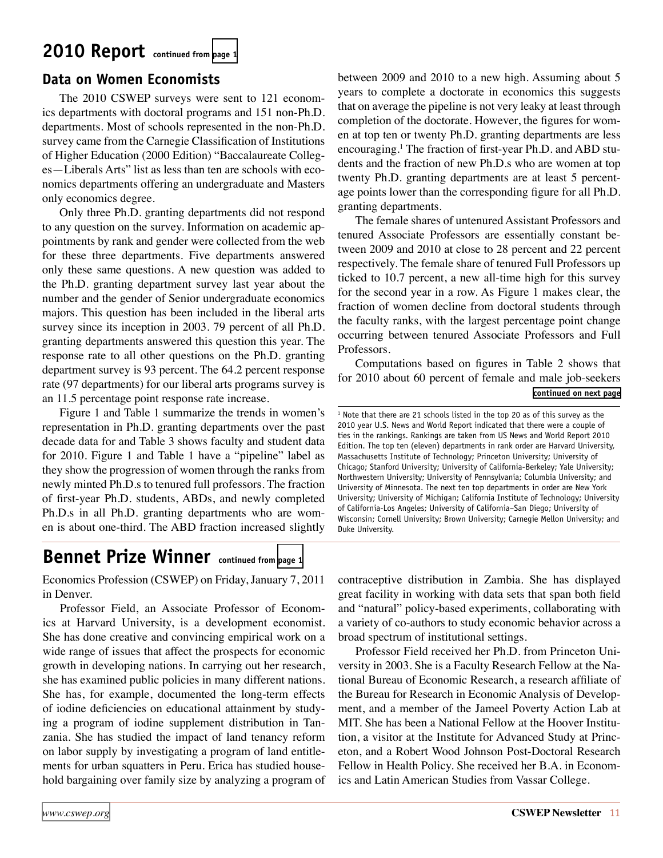## <span id="page-10-0"></span>**2010 Report continued from [page 1](#page-0-0)**

## **Data on Women Economists**

The 2010 CSWEP surveys were sent to 121 economics departments with doctoral programs and 151 non-Ph.D. departments. Most of schools represented in the non-Ph.D. survey came from the Carnegie Classification of Institutions of Higher Education (2000 Edition) "Baccalaureate Colleges—Liberals Arts" list as less than ten are schools with economics departments offering an undergraduate and Masters only economics degree.

Only three Ph.D. granting departments did not respond to any question on the survey. Information on academic appointments by rank and gender were collected from the web for these three departments. Five departments answered only these same questions. A new question was added to the Ph.D. granting department survey last year about the number and the gender of Senior undergraduate economics majors. This question has been included in the liberal arts survey since its inception in 2003. 79 percent of all Ph.D. granting departments answered this question this year. The response rate to all other questions on the Ph.D. granting department survey is 93 percent. The 64.2 percent response rate (97 departments) for our liberal arts programs survey is an 11.5 percentage point response rate increase.

Figure 1 and Table 1 summarize the trends in women's representation in Ph.D. granting departments over the past decade data for and Table 3 shows faculty and student data for 2010. Figure 1 and Table 1 have a "pipeline" label as they show the progression of women through the ranks from newly minted Ph.D.s to tenured full professors. The fraction of first-year Ph.D. students, ABDs, and newly completed Ph.D.s in all Ph.D. granting departments who are women is about one-third. The ABD fraction increased slightly

between 2009 and 2010 to a new high. Assuming about 5 years to complete a doctorate in economics this suggests that on average the pipeline is not very leaky at least through completion of the doctorate. However, the figures for women at top ten or twenty Ph.D. granting departments are less encouraging.<sup>1</sup> The fraction of first-year Ph.D. and ABD students and the fraction of new Ph.D.s who are women at top twenty Ph.D. granting departments are at least 5 percentage points lower than the corresponding figure for all Ph.D. granting departments.

The female shares of untenured Assistant Professors and tenured Associate Professors are essentially constant between 2009 and 2010 at close to 28 percent and 22 percent respectively. The female share of tenured Full Professors up ticked to 10.7 percent, a new all-time high for this survey for the second year in a row. As Figure 1 makes clear, the fraction of women decline from doctoral students through the faculty ranks, with the largest percentage point change occurring between tenured Associate Professors and Full Professors.

Computations based on figures in Table 2 shows that for 2010 about 60 percent of female and male job-seekers **[continued on next page](#page-11-0)**

<sup>1</sup> Note that there are 21 schools listed in the top 20 as of this survey as the 2010 year U.S. News and World Report indicated that there were a couple of ties in the rankings. Rankings are taken from US News and World Report 2010 Edition. The top ten (eleven) departments in rank order are Harvard University, Massachusetts Institute of Technology; Princeton University; University of Chicago; Stanford University; University of California-Berkeley; Yale University; Northwestern University; University of Pennsylvania; Columbia University; and University of Minnesota. The next ten top departments in order are New York University; University of Michigan; California Institute of Technology; University of California-Los Angeles; University of California–San Diego; University of Wisconsin; Cornell University; Brown University; Carnegie Mellon University; and Duke University.

## **Bennet Prize Winner continued from [page 1](#page-0-0)**

Economics Profession (CSWEP) on Friday, January 7, 2011 in Denver.

Professor Field, an Associate Professor of Economics at Harvard University, is a development economist. She has done creative and convincing empirical work on a wide range of issues that affect the prospects for economic growth in developing nations. In carrying out her research, she has examined public policies in many different nations. She has, for example, documented the long-term effects of iodine deficiencies on educational attainment by studying a program of iodine supplement distribution in Tanzania. She has studied the impact of land tenancy reform on labor supply by investigating a program of land entitlements for urban squatters in Peru. Erica has studied household bargaining over family size by analyzing a program of

contraceptive distribution in Zambia. She has displayed great facility in working with data sets that span both field and "natural" policy-based experiments, collaborating with a variety of co-authors to study economic behavior across a broad spectrum of institutional settings.

Professor Field received her Ph.D. from Princeton University in 2003. She is a Faculty Research Fellow at the National Bureau of Economic Research, a research affiliate of the Bureau for Research in Economic Analysis of Development, and a member of the Jameel Poverty Action Lab at MIT. She has been a National Fellow at the Hoover Institution, a visitor at the Institute for Advanced Study at Princeton, and a Robert Wood Johnson Post-Doctoral Research Fellow in Health Policy. She received her B.A. in Economics and Latin American Studies from Vassar College.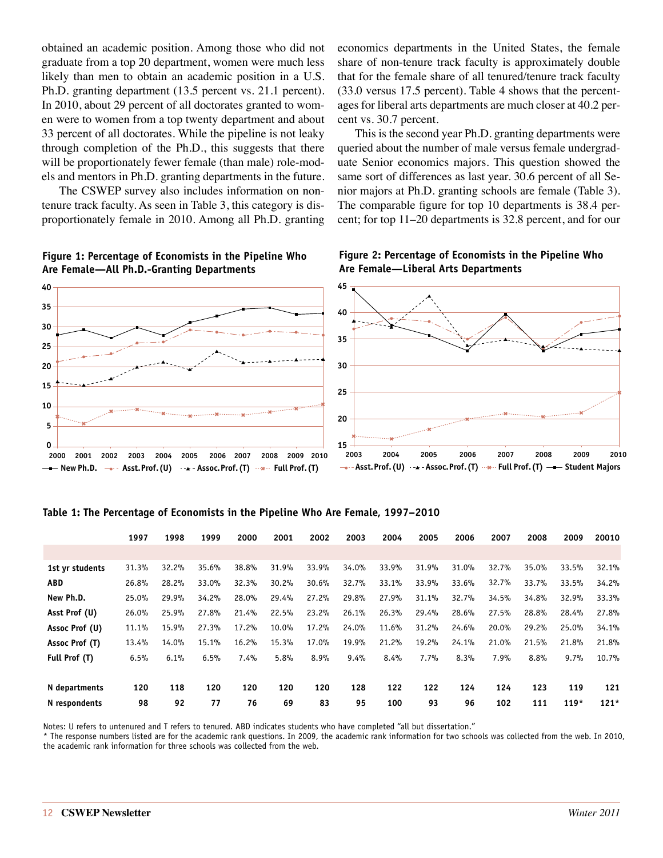<span id="page-11-0"></span>obtained an academic position. Among those who did not graduate from a top 20 department, women were much less likely than men to obtain an academic position in a U.S. Ph.D. granting department (13.5 percent vs. 21.1 percent). In 2010, about 29 percent of all doctorates granted to women were to women from a top twenty department and about 33 percent of all doctorates. While the pipeline is not leaky through completion of the Ph.D., this suggests that there will be proportionately fewer female (than male) role-models and mentors in Ph.D. granting departments in the future.

The CSWEP survey also includes information on nontenure track faculty. As seen in Table 3, this category is disproportionately female in 2010. Among all Ph.D. granting economics departments in the United States, the female share of non-tenure track faculty is approximately double that for the female share of all tenured/tenure track faculty (33.0 versus 17.5 percent). Table 4 shows that the percentages for liberal arts departments are much closer at 40.2 percent vs. 30.7 percent.

This is the second year Ph.D. granting departments were queried about the number of male versus female undergraduate Senior economics majors. This question showed the same sort of differences as last year. 30.6 percent of all Senior majors at Ph.D. granting schools are female (Table 3). The comparable figure for top 10 departments is 38.4 percent; for top 11–20 departments is 32.8 percent, and for our



#### **Figure 1: Percentage of Economists in the Pipeline Who Are Female—All Ph.D.-Granting Departments**

#### **Table 1: The Percentage of Economists in the Pipeline Who Are Female, 1997–2010**

|                 | 1997  | 1998  | 1999  | 2000  | 2001  | 2002  | 2003  | 2004  | 2005  | 2006  | 2007  | 2008  | 2009   | 20010  |
|-----------------|-------|-------|-------|-------|-------|-------|-------|-------|-------|-------|-------|-------|--------|--------|
|                 |       |       |       |       |       |       |       |       |       |       |       |       |        |        |
| 1st vr students | 31.3% | 32.2% | 35.6% | 38.8% | 31.9% | 33.9% | 34.0% | 33.9% | 31.9% | 31.0% | 32.7% | 35.0% | 33.5%  | 32.1%  |
| <b>ABD</b>      | 26.8% | 28.2% | 33.0% | 32.3% | 30.2% | 30.6% | 32.7% | 33.1% | 33.9% | 33.6% | 32.7% | 33.7% | 33.5%  | 34.2%  |
| New Ph.D.       | 25.0% | 29.9% | 34.2% | 28.0% | 29.4% | 27.2% | 29.8% | 27.9% | 31.1% | 32.7% | 34.5% | 34.8% | 32.9%  | 33.3%  |
| Asst Prof (U)   | 26.0% | 25.9% | 27.8% | 21.4% | 22.5% | 23.2% | 26.1% | 26.3% | 29.4% | 28.6% | 27.5% | 28.8% | 28.4%  | 27.8%  |
| Assoc Prof (U)  | 11.1% | 15.9% | 27.3% | 17.2% | 10.0% | 17.2% | 24.0% | 11.6% | 31.2% | 24.6% | 20.0% | 29.2% | 25.0%  | 34.1%  |
| Assoc Prof (T)  | 13.4% | 14.0% | 15.1% | 16.2% | 15.3% | 17.0% | 19.9% | 21.2% | 19.2% | 24.1% | 21.0% | 21.5% | 21.8%  | 21.8%  |
| Full Prof (T)   | 6.5%  | 6.1%  | 6.5%  | 7.4%  | 5.8%  | 8.9%  | 9.4%  | 8.4%  | 7.7%  | 8.3%  | 7.9%  | 8.8%  | 9.7%   | 10.7%  |
| N departments   | 120   | 118   | 120   | 120   | 120   | 120   | 128   | 122   | 122   | 124   | 124   | 123   | 119    | 121    |
| N respondents   | 98    | 92    | 77    | 76    | 69    | 83    | 95    | 100   | 93    | 96    | 102   | 111   | $119*$ | $121*$ |

Notes: U refers to untenured and T refers to tenured. ABD indicates students who have completed "all but dissertation."

\* The response numbers listed are for the academic rank questions. In 2009, the academic rank information for two schools was collected from the web. In 2010, the academic rank information for three schools was collected from the web.

**Figure 2: Percentage of Economists in the Pipeline Who Are Female—Liberal Arts Departments**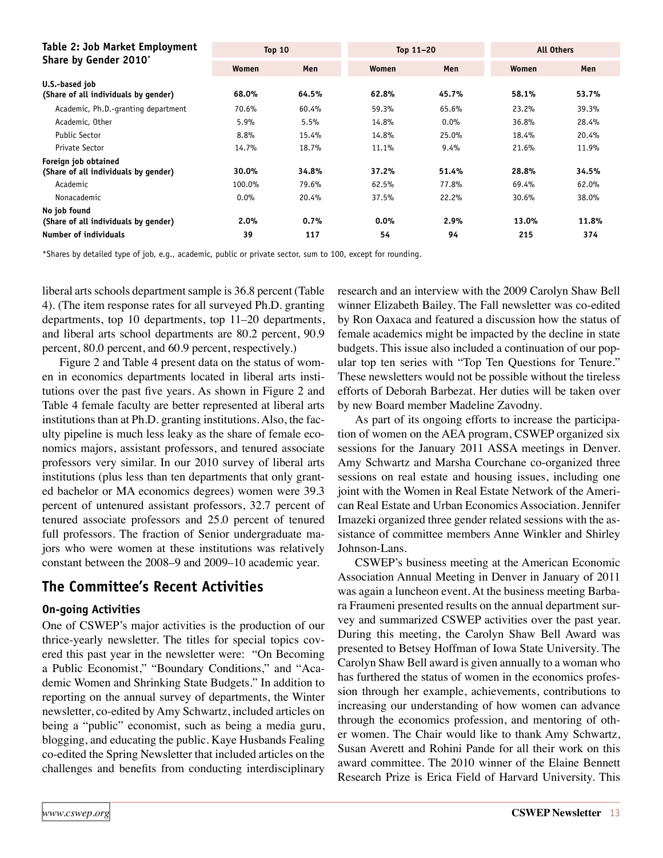| Table 2: Job Market Employment                               | Top $10$ |       | Top $11-20$ |       | <b>All Others</b> |       |  |
|--------------------------------------------------------------|----------|-------|-------------|-------|-------------------|-------|--|
| Share by Gender 2010 <sup>*</sup>                            | Women    | Men   | Women       | Men   | Women             | Men   |  |
| U.S.-based job<br>(Share of all individuals by gender)       | 68.0%    | 64.5% | 62.8%       | 45.7% | 58.1%             | 53.7% |  |
| Academic, Ph.D.-granting department                          | 70.6%    | 60.4% | 59.3%       | 65.6% | 23.2%             | 39.3% |  |
| Academic, Other                                              | 5.9%     | 5.5%  | 14.8%       | 0.0%  | 36.8%             | 28.4% |  |
| <b>Public Sector</b>                                         | 8.8%     | 15.4% | 14.8%       | 25.0% | 18.4%             | 20.4% |  |
| Private Sector                                               | 14.7%    | 18.7% | 11.1%       | 9.4%  | 21.6%             | 11.9% |  |
| Foreign job obtained<br>(Share of all individuals by gender) | 30.0%    | 34.8% | 37.2%       | 51.4% | 28.8%             | 34.5% |  |
| Academic                                                     | 100.0%   | 79.6% | 62.5%       | 77.8% | 69.4%             | 62.0% |  |
| Nonacademic                                                  | 0.0%     | 20.4% | 37.5%       | 22.2% | 30.6%             | 38.0% |  |
| No job found<br>(Share of all individuals by gender)         | 2.0%     | 0.7%  | 0.0%        | 2.9%  | 13.0%             | 11.8% |  |
| <b>Number of individuals</b>                                 | 39       | 117   | 54          | 94    | 215               | 374   |  |

\*Shares by detailed type of job, e.g., academic, public or private sector, sum to 100, except for rounding.

liberal arts schools department sample is 36.8 percent (Table 4). (The item response rates for all surveyed Ph.D. granting departments, top 10 departments, top 11–20 departments, and liberal arts school departments are 80.2 percent, 90.9 percent, 80.0 percent, and 60.9 percent, respectively.)

Figure 2 and Table 4 present data on the status of women in economics departments located in liberal arts institutions over the past five years. As shown in Figure 2 and Table 4 female faculty are better represented at liberal arts institutions than at Ph.D. granting institutions. Also, the faculty pipeline is much less leaky as the share of female economics majors, assistant professors, and tenured associate professors very similar. In our 2010 survey of liberal arts institutions (plus less than ten departments that only granted bachelor or MA economics degrees) women were 39.3 percent of untenured assistant professors, 32.7 percent of tenured associate professors and 25.0 percent of tenured full professors. The fraction of Senior undergraduate majors who were women at these institutions was relatively constant between the 2008–9 and 2009–10 academic year.

## **The Committee's Recent Activities**

#### **On-going Activities**

One of CSWEP's major activities is the production of our thrice-yearly newsletter. The titles for special topics covered this past year in the newsletter were: "On Becoming a Public Economist," "Boundary Conditions," and "Academic Women and Shrinking State Budgets." In addition to reporting on the annual survey of departments, the Winter newsletter, co-edited by Amy Schwartz, included articles on being a "public" economist, such as being a media guru, blogging, and educating the public. Kaye Husbands Fealing co-edited the Spring Newsletter that included articles on the challenges and benefits from conducting interdisciplinary research and an interview with the 2009 Carolyn Shaw Bell winner Elizabeth Bailey. The Fall newsletter was co-edited by Ron Oaxaca and featured a discussion how the status of female academics might be impacted by the decline in state budgets. This issue also included a continuation of our popular top ten series with "Top Ten Questions for Tenure." These newsletters would not be possible without the tireless efforts of Deborah Barbezat. Her duties will be taken over by new Board member Madeline Zavodny.

As part of its ongoing efforts to increase the participation of women on the AEA program, CSWEP organized six sessions for the January 2011 ASSA meetings in Denver. Amy Schwartz and Marsha Courchane co-organized three sessions on real estate and housing issues, including one joint with the Women in Real Estate Network of the American Real Estate and Urban Economics Association. Jennifer Imazeki organized three gender related sessions with the assistance of committee members Anne Winkler and Shirley Johnson-Lans.

CSWEP's business meeting at the American Economic Association Annual Meeting in Denver in January of 2011 was again a luncheon event. At the business meeting Barbara Fraumeni presented results on the annual department survey and summarized CSWEP activities over the past year. During this meeting, the Carolyn Shaw Bell Award was presented to Betsey Hoffman of Iowa State University. The Carolyn Shaw Bell award is given annually to a woman who has furthered the status of women in the economics profession through her example, achievements, contributions to increasing our understanding of how women can advance through the economics profession, and mentoring of other women. The Chair would like to thank Amy Schwartz, Susan Averett and Rohini Pande for all their work on this award committee. The 2010 winner of the Elaine Bennett Research Prize is Erica Field of Harvard University. This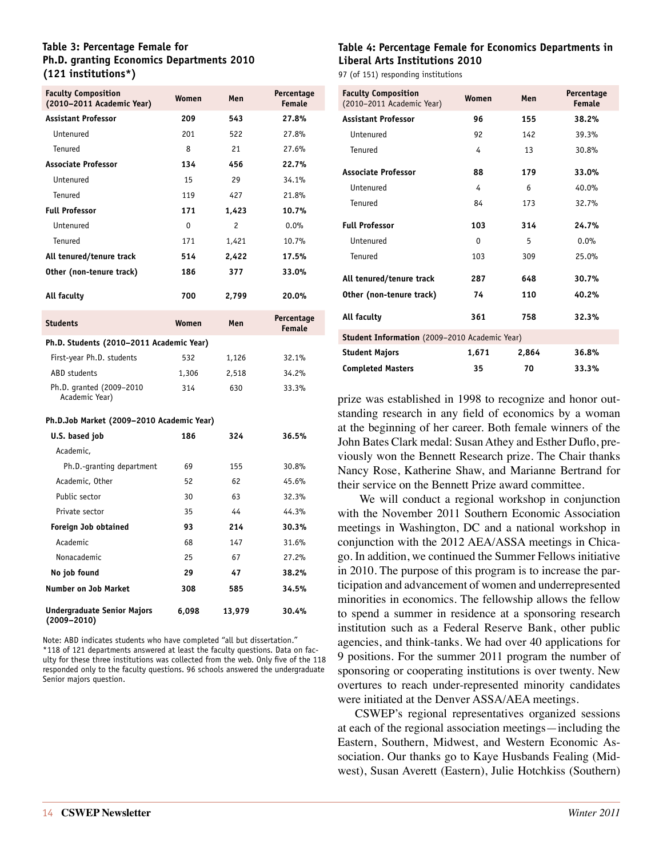#### **Table 3: Percentage Female for Ph.D. granting Economics Departments 2010 (121 institutions\*)**

| <b>Faculty Composition</b><br>(2010-2011 Academic Year) | Women        | Men    | Percentage<br>Female        |  |  |  |  |
|---------------------------------------------------------|--------------|--------|-----------------------------|--|--|--|--|
| <b>Assistant Professor</b>                              | 209          | 543    | 27.8%                       |  |  |  |  |
| Untenured                                               | 201          | 522    | 27.8%                       |  |  |  |  |
| Tenured                                                 | 8            | 21     | 27.6%                       |  |  |  |  |
| <b>Associate Professor</b>                              | 134          | 456    | 22.7%                       |  |  |  |  |
| Untenured                                               | 15           | 29     | 34.1%                       |  |  |  |  |
| Tenured                                                 | 119          | 427    | 21.8%                       |  |  |  |  |
| <b>Full Professor</b>                                   | 171          | 1,423  | 10.7%                       |  |  |  |  |
| Untenured                                               | $\mathbf{0}$ | 2      | 0.0%                        |  |  |  |  |
| Tenured                                                 | 171          | 1.421  | 10.7%                       |  |  |  |  |
| All tenured/tenure track                                | 514          | 2,422  | 17.5%                       |  |  |  |  |
| Other (non-tenure track)                                | 186          | 377    | 33.0%                       |  |  |  |  |
| All faculty                                             | 700          | 2,799  | 20.0%                       |  |  |  |  |
| <b>Students</b>                                         | Women        | Men    | Percentage<br><b>Female</b> |  |  |  |  |
| Ph.D. Students (2010–2011 Academic Year)                |              |        |                             |  |  |  |  |
| First-year Ph.D. students                               | 532          | 1,126  | 32.1%                       |  |  |  |  |
| ABD students                                            | 1,306        | 2,518  | 34.2%                       |  |  |  |  |
| Ph.D. granted (2009-2010<br>Academic Year)              | 314          | 630    | 33.3%                       |  |  |  |  |
| Ph.D.Job Market (2009–2010 Academic Year)               |              |        |                             |  |  |  |  |
| U.S. based job                                          | 186          | 324    | 36.5%                       |  |  |  |  |
| Academic,                                               |              |        |                             |  |  |  |  |
| Ph.D.-granting department                               | 69           | 155    | 30.8%                       |  |  |  |  |
| Academic, Other                                         | 52           | 62     | 45.6%                       |  |  |  |  |
| Public sector                                           | 30           | 63     | 32.3%                       |  |  |  |  |
| Private sector                                          | 35           | 44     | 44.3%                       |  |  |  |  |
| Foreign Job obtained                                    | 93           | 214    | 30.3%                       |  |  |  |  |
| Academic                                                | 68           | 147    | 31.6%                       |  |  |  |  |
| Nonacademic                                             | 25           | 67     | 27.2%                       |  |  |  |  |
| No job found                                            | 29           | 47     | 38.2%                       |  |  |  |  |
| <b>Number on Job Market</b>                             | 308          | 585    | 34.5%                       |  |  |  |  |
| Undergraduate Senior Maiors                             | 6 098        | 13 979 | 30.4%                       |  |  |  |  |

Note: ABD indicates students who have completed "all but dissertation." \*118 of 121 departments answered at least the faculty questions. Data on faculty for these three institutions was collected from the web. Only five of the 118 responded only to the faculty questions. 96 schools answered the undergraduate Senior majors question.

#### **Table 4: Percentage Female for Economics Departments in Liberal Arts Institutions 2010**

97 (of 151) responding institutions

| <b>Faculty Composition</b><br>(2010-2011 Academic Year) | Women | Men   | Percentage<br><b>Female</b> |  |  |  |  |
|---------------------------------------------------------|-------|-------|-----------------------------|--|--|--|--|
| <b>Assistant Professor</b>                              | 96    | 155   | 38.2%                       |  |  |  |  |
| Untenured                                               | 92    | 142   | 39.3%                       |  |  |  |  |
| Tenured                                                 | 4     | 13    | 30.8%                       |  |  |  |  |
| <b>Associate Professor</b>                              | 88    | 179   | 33.0%                       |  |  |  |  |
| Untenured                                               | 4     | 6     | 40.0%                       |  |  |  |  |
| Tenured                                                 | 84    | 173   | 32.7%                       |  |  |  |  |
| <b>Full Professor</b>                                   | 103   | 314   | 24.7%                       |  |  |  |  |
| Untenured                                               | 0     | 5     | 0.0%                        |  |  |  |  |
| Tenured                                                 | 103   | 309   | 25.0%                       |  |  |  |  |
| All tenured/tenure track                                | 287   | 648   | 30.7%                       |  |  |  |  |
| Other (non-tenure track)                                | 74    | 110   | 40.2%                       |  |  |  |  |
| All faculty                                             | 361   | 758   | 32.3%                       |  |  |  |  |
| Student Information (2009-2010 Academic Year)           |       |       |                             |  |  |  |  |
| <b>Student Majors</b>                                   | 1,671 | 2,864 | 36.8%                       |  |  |  |  |
| <b>Completed Masters</b>                                | 35    | 70    | 33.3%                       |  |  |  |  |

prize was established in 1998 to recognize and honor outstanding research in any field of economics by a woman at the beginning of her career. Both female winners of the John Bates Clark medal: Susan Athey and Esther Duflo, previously won the Bennett Research prize. The Chair thanks Nancy Rose, Katherine Shaw, and Marianne Bertrand for their service on the Bennett Prize award committee.

 We will conduct a regional workshop in conjunction with the November 2011 Southern Economic Association meetings in Washington, DC and a national workshop in conjunction with the 2012 AEA/ASSA meetings in Chicago. In addition, we continued the Summer Fellows initiative in 2010. The purpose of this program is to increase the participation and advancement of women and underrepresented minorities in economics. The fellowship allows the fellow to spend a summer in residence at a sponsoring research institution such as a Federal Reserve Bank, other public agencies, and think-tanks. We had over 40 applications for 9 positions. For the summer 2011 program the number of sponsoring or cooperating institutions is over twenty. New overtures to reach under-represented minority candidates were initiated at the Denver ASSA/AEA meetings.

CSWEP's regional representatives organized sessions at each of the regional association meetings—including the Eastern, Southern, Midwest, and Western Economic Association. Our thanks go to Kaye Husbands Fealing (Midwest), Susan Averett (Eastern), Julie Hotchkiss (Southern)

**Undergraduate Senior Majors** 

**(2009–2010)**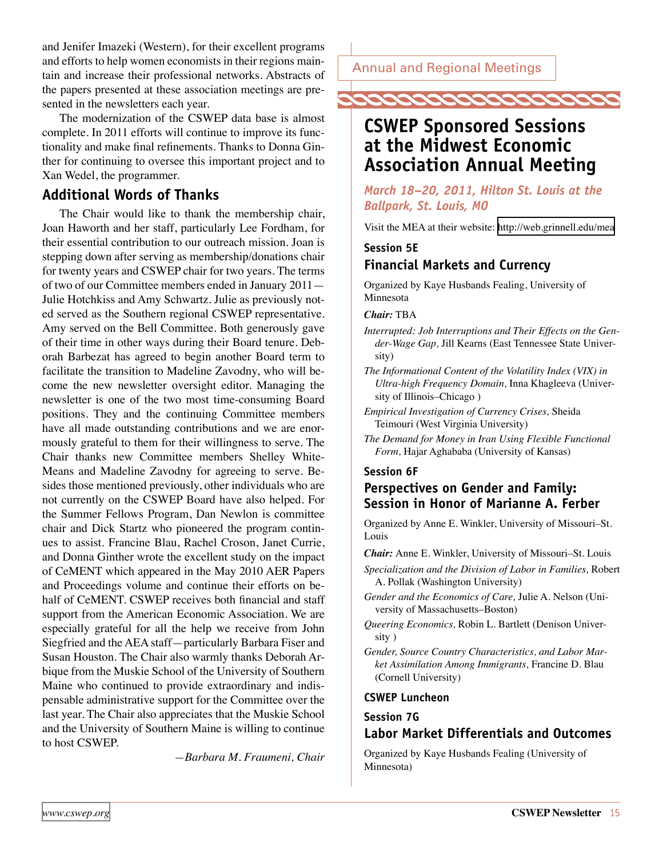<span id="page-14-0"></span>and Jenifer Imazeki (Western), for their excellent programs and efforts to help women economists in their regions maintain and increase their professional networks. Abstracts of the papers presented at these association meetings are presented in the newsletters each year.

The modernization of the CSWEP data base is almost complete. In 2011 efforts will continue to improve its functionality and make final refinements. Thanks to Donna Ginther for continuing to oversee this important project and to Xan Wedel, the programmer.

### **Additional Words of Thanks**

The Chair would like to thank the membership chair, Joan Haworth and her staff, particularly Lee Fordham, for their essential contribution to our outreach mission. Joan is stepping down after serving as membership/donations chair for twenty years and CSWEP chair for two years. The terms of two of our Committee members ended in January 2011— Julie Hotchkiss and Amy Schwartz. Julie as previously noted served as the Southern regional CSWEP representative. Amy served on the Bell Committee. Both generously gave of their time in other ways during their Board tenure. Deborah Barbezat has agreed to begin another Board term to facilitate the transition to Madeline Zavodny, who will become the new newsletter oversight editor. Managing the newsletter is one of the two most time-consuming Board positions. They and the continuing Committee members have all made outstanding contributions and we are enormously grateful to them for their willingness to serve. The Chair thanks new Committee members Shelley White-Means and Madeline Zavodny for agreeing to serve. Besides those mentioned previously, other individuals who are not currently on the CSWEP Board have also helped. For the Summer Fellows Program, Dan Newlon is committee chair and Dick Startz who pioneered the program continues to assist. Francine Blau, Rachel Croson, Janet Currie, and Donna Ginther wrote the excellent study on the impact of CeMENT which appeared in the May 2010 AER Papers and Proceedings volume and continue their efforts on behalf of CeMENT. CSWEP receives both financial and staff support from the American Economic Association. We are especially grateful for all the help we receive from John Siegfried and the AEA staff—particularly Barbara Fiser and Susan Houston. The Chair also warmly thanks Deborah Arbique from the Muskie School of the University of Southern Maine who continued to provide extraordinary and indispensable administrative support for the Committee over the last year. The Chair also appreciates that the Muskie School and the University of Southern Maine is willing to continue to host CSWEP.

*—Barbara M. Fraumeni, Chair*

Annual and Regional Meetings



## **CSWEP Sponsored Sessions at the Midwest Economic Association Annual Meeting**

*March 18–20, 2011, Hilton St. Louis at the Ballpark, St. Louis, MO*

Visit the MEA at their website: <http://web.grinnell.edu/mea>

## **Session 5E Financial Markets and Currency**

Organized by Kaye Husbands Fealing, University of Minnesota

*Chair:* TBA

*Interrupted: Job Interruptions and Their Effects on the Gender-Wage Gap,* Jill Kearns (East Tennessee State University)

*The Informational Content of the Volatility Index (VIX) in Ultra-high Frequency Domain,* Inna Khagleeva (University of Illinois–Chicago )

- *Empirical Investigation of Currency Crises,* Sheida Teimouri (West Virginia University)
- *The Demand for Money in Iran Using Flexible Functional Form,* Hajar Aghababa (University of Kansas)

### **Session 6F**

### **Perspectives on Gender and Family: Session in Honor of Marianne A. Ferber**

Organized by Anne E. Winkler, University of Missouri–St. Louis

*Chair:* Anne E. Winkler, University of Missouri–St. Louis

- *Specialization and the Division of Labor in Families,* Robert A. Pollak (Washington University)
- *Gender and the Economics of Care,* Julie A. Nelson (University of Massachusetts–Boston)
- *Queering Economics,* Robin L. Bartlett (Denison University )
- *Gender, Source Country Characteristics, and Labor Market Assimilation Among Immigrants,* Francine D. Blau (Cornell University)

#### **CSWEP Luncheon**

### **Session 7G Labor Market Differentials and Outcomes**

Organized by Kaye Husbands Fealing (University of Minnesota)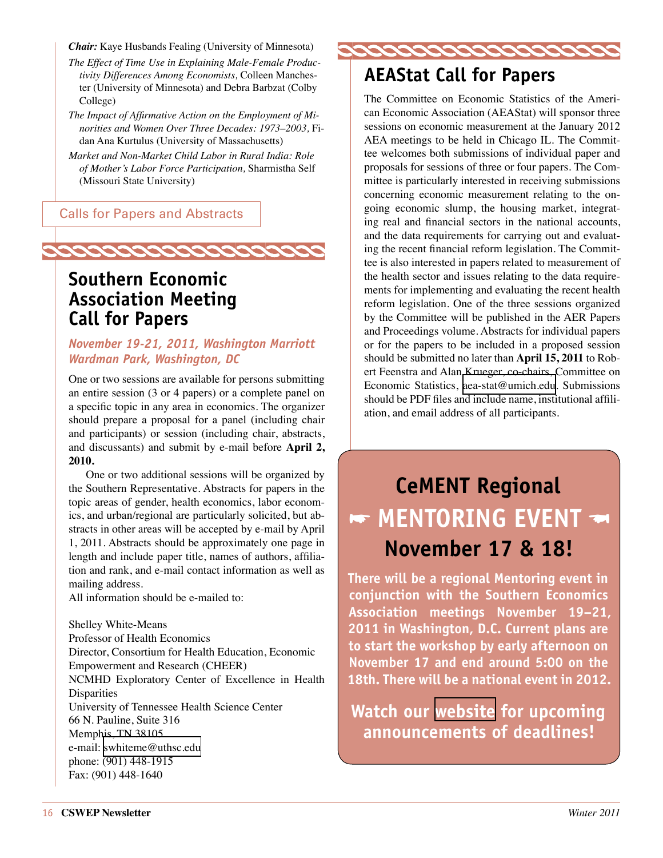<span id="page-15-0"></span>*Chair:* Kaye Husbands Fealing (University of Minnesota)

*The Effect of Time Use in Explaining Male-Female Productivity Differences Among Economists,* Colleen Manchester (University of Minnesota) and Debra Barbzat (Colby College)

*The Impact of Affirmative Action on the Employment of Minorities and Women Over Three Decades: 1973–2003,* Fidan Ana Kurtulus (University of Massachusetts)

*Market and Non-Market Child Labor in Rural India: Role of Mother's Labor Force Participation,* Sharmistha Self (Missouri State University)

Calls for Papers and Abstracts

## 22222222222222222222

## **Southern Economic Association Meeting Call for Papers**

### *November 19-21, 2011, Washington Marriott Wardman Park, Washington, DC*

One or two sessions are available for persons submitting an entire session (3 or 4 papers) or a complete panel on a specific topic in any area in economics. The organizer should prepare a proposal for a panel (including chair and participants) or session (including chair, abstracts, and discussants) and submit by e-mail before **April 2, 2010.**

One or two additional sessions will be organized by the Southern Representative. Abstracts for papers in the topic areas of gender, health economics, labor economics, and urban/regional are particularly solicited, but abstracts in other areas will be accepted by e-mail by April 1, 2011. Abstracts should be approximately one page in length and include paper title, names of authors, affiliation and rank, and e-mail contact information as well as mailing address.

All information should be e-mailed to:

Shelley White-Means Professor of Health Economics Director, Consortium for Health Education, Economic Empowerment and Research (CHEER) NCMHD Exploratory Center of Excellence in Health **Disparities** University of Tennessee Health Science Center 66 N. Pauline, Suite 316 Memphis, TN 38105 e-mail: [swhiteme@uthsc.edu](mailto:mailto:swhiteme%40uthsc.edu?subject=) phone: (901) 448-1915 Fax: (901) 448-1640

222222222222

## **AEAStat Call for Papers**

The Committee on Economic Statistics of the American Economic Association (AEAStat) will sponsor three sessions on economic measurement at the January 2012 AEA meetings to be held in Chicago IL. The Committee welcomes both submissions of individual paper and proposals for sessions of three or four papers. The Committee is particularly interested in receiving submissions concerning economic measurement relating to the ongoing economic slump, the housing market, integrating real and financial sectors in the national accounts, and the data requirements for carrying out and evaluating the recent financial reform legislation. The Committee is also interested in papers related to measurement of the health sector and issues relating to the data requirements for implementing and evaluating the recent health reform legislation. One of the three sessions organized by the Committee will be published in the AER Papers and Proceedings volume. Abstracts for individual papers or for the papers to be included in a proposed session should be submitted no later than **April 15, 2011** to Robert Feenstra and Alan Krueger, co-chairs, Committee on Economic Statistics, [aea-stat@umich.edu](mailto:mailto:aea-stat%40umich.edu?subject=). Submissions should be PDF files and include name, institutional affiliation, and email address of all participants.

## **CeMENT Regional**  $\blacktriangleright$  MENTORING EVENT **November 17 & 18!**

**There will be a regional Mentoring event in conjunction with the Southern Economics Association meetings November 19–21, 2011 in Washington, D.C. Current plans are to start the workshop by early afternoon on November 17 and end around 5:00 on the 18th. There will be a national event in 2012.** 

**Watch our [website](http://cswep.org) for upcoming announcements of deadlines!**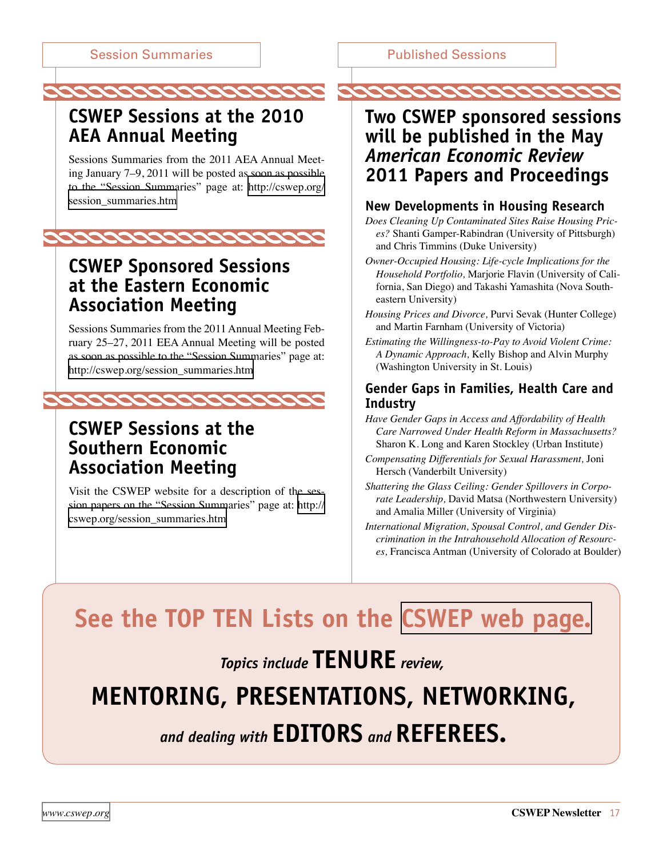<span id="page-16-0"></span>**CSWEP Sessions at the 2010 AEA Annual Meeting** 

Sessions Summaries from the 2011 AEA Annual Meeting January 7–9, 2011 will be posted as soon as possible to the "Session Summaries" page at: [http://cswep.org/](http://cswep.org/session_summaries.htm) [session\\_summaries.htm](http://cswep.org/session_summaries.htm)



## **CSWEP Sponsored Sessions at the Eastern Economic Association Meeting**

Sessions Summaries from the 2011 Annual Meeting February 25–27, 2011 EEA Annual Meeting will be posted as soon as possible to the "Session Summaries" page at: [http://cswep.org/session\\_summaries.htm](http://cswep.org/session_summaries.htm)



## **CSWEP Sessions at the Southern Economic Association Meeting**

Visit the CSWEP website for a description of the session papers on the "Session Summaries" page at: [http://](http://cswep.org/session_summaries.htm) [cswep.org/session\\_summaries.htm](http://cswep.org/session_summaries.htm)

## **Two CSWEP sponsored sessions will be published in the May**  *American Economic Review* **2011 Papers and Proceedings**

222222222

### **New Developments in Housing Research**

*Does Cleaning Up Contaminated Sites Raise Housing Prices?* Shanti Gamper-Rabindran (University of Pittsburgh) and Chris Timmins (Duke University)

- *Owner-Occupied Housing: Life-cycle Implications for the Household Portfolio,* Marjorie Flavin (University of California, San Diego) and Takashi Yamashita (Nova Southeastern University)
- *Housing Prices and Divorce,* Purvi Sevak (Hunter College) and Martin Farnham (University of Victoria)
- *Estimating the Willingness-to-Pay to Avoid Violent Crime: A Dynamic Approach,* Kelly Bishop and Alvin Murphy (Washington University in St. Louis)

### **Gender Gaps in Families, Health Care and Industry**

- *Have Gender Gaps in Access and Affordability of Health Care Narrowed Under Health Reform in Massachusetts?*  Sharon K. Long and Karen Stockley (Urban Institute)
- *Compensating Differentials for Sexual Harassment,* Joni Hersch (Vanderbilt University)
- *Shattering the Glass Ceiling: Gender Spillovers in Corporate Leadership,* David Matsa (Northwestern University) and Amalia Miller (University of Virginia)

*International Migration, Spousal Control, and Gender Discrimination in the Intrahousehold Allocation of Resources,* Francisca Antman (University of Colorado at Boulder)

## **See the TOP TEN Lists on the [CSWEP web page.](http://cswep.org)**

*Topics include* **TENURE** review.

## **mentoring, presentations, networking,**

## and dealing with **EDITORS** and **REFEREES**.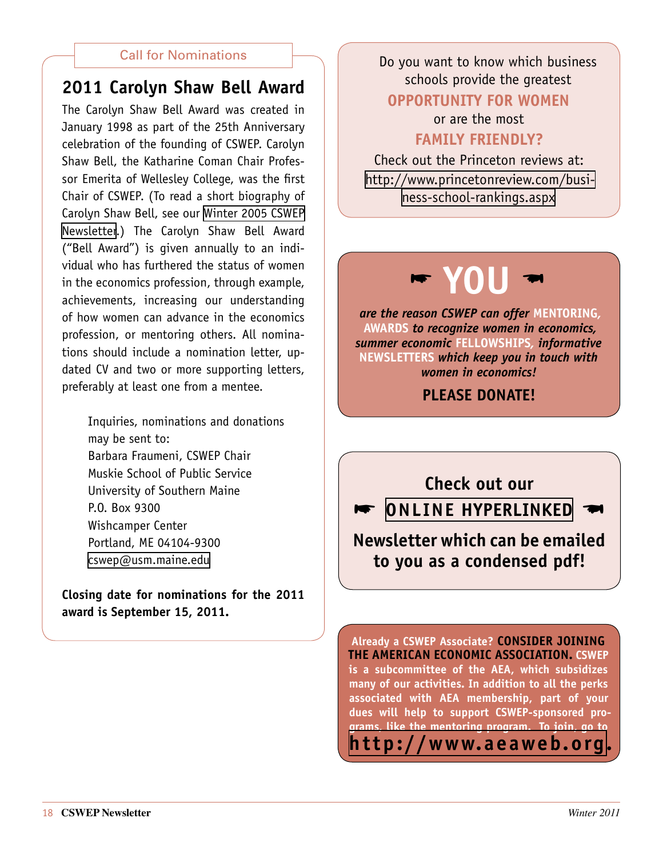## <span id="page-17-0"></span>**2011 Carolyn Shaw Bell Award**

The Carolyn Shaw Bell Award was created in January 1998 as part of the 25th Anniversary celebration of the founding of CSWEP. Carolyn Shaw Bell, the Katharine Coman Chair Professor Emerita of Wellesley College, was the first Chair of CSWEP. (To read a short biography of Carolyn Shaw Bell, see our [Winter 2005 CSWEP](http://www.aeaweb.org/committees/cswep/newsletters.php)  [Newsletter](http://www.aeaweb.org/committees/cswep/newsletters.php).) The Carolyn Shaw Bell Award ("Bell Award") is given annually to an individual who has furthered the status of women in the economics profession, through example, achievements, increasing our understanding of how women can advance in the economics profession, or mentoring others. All nominations should include a nomination letter, updated CV and two or more supporting letters, preferably at least one from a mentee.

> Inquiries, nominations and donations may be sent to: Barbara Fraumeni, CSWEP Chair Muskie School of Public Service University of Southern Maine P.O. Box 9300 Wishcamper Center Portland, ME 04104-9300 [cswep@usm.maine.edu](mailto:cswep@usm.maine.edu)

**Closing date for nominations for the 2011 award is September 15, 2011.**

Call for Nominations  $\Box$  Do you want to know which business schools provide the greatest **opportunity for women**

> or are the most **family friendly?**

Check out the Princeton reviews at: [http://www.princetonreview.com/busi](http://www.princetonreview.com/business-school-rankings.aspx)[ness-school-rankings.aspx](http://www.princetonreview.com/business-school-rankings.aspx)

# **\* YOU \***

*are the reason CSWEP can offer* **mentoring***,*  **awards** *to recognize women in economics, summer economic* **fellowships***, informative*  **newsletters** *which keep you in touch with women in economics!* 

**PI FASE DONATE!** 

**Check out our online HyperLINKED Newsletter which can be emailed** 

**to you as a condensed pdf!**

**Already a CSWEP Associate? Consider joining the American Economic Association. CSWEP is a subcommittee of the AEA, which subsidizes many of our activities. In addition to all the perks associated with AEA membership, part of your dues will help to support CSWEP-sponsored programs, like the mentoring program. To join, go to <http://www.aeaweb.org>.**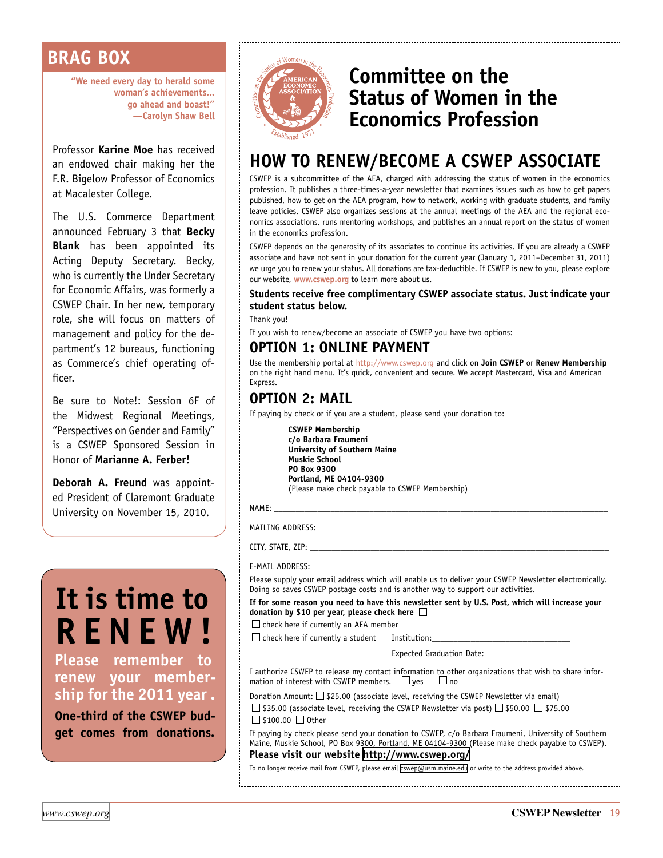## <span id="page-18-0"></span>**BRAG BOX**

**"We need every day to herald some woman's achievements... go ahead and boast!" —Carolyn Shaw Bell**

Professor **Karine Moe** has received an endowed chair making her the F.R. Bigelow Professor of Economics at Macalester College.

The U.S. Commerce Department announced February 3 that **Becky Blank** has been appointed its Acting Deputy Secretary. Becky, who is currently the Under Secretary for Economic Affairs, was formerly a CSWEP Chair. In her new, temporary role, she will focus on matters of management and policy for the department's 12 bureaus, functioning as Commerce's chief operating officer.

Be sure to Note!: Session 6F of the Midwest Regional Meetings, "Perspectives on Gender and Family" is a CSWEP Sponsored Session in Honor of **Marianne A. Ferber!**

**Deborah A. Freund** was appointed President of Claremont Graduate University on November 15, 2010.

# **It is time to renew !**

**Please remember to renew your membership for the 2011 year .**

**One-third of the CSWEP budget comes from donations.**



## <span id="page-18-1"></span>**Committee on the Status of Women in the Economics Profession**

## **HOW TO RENEW/BECOME A CSWEP ASSOCIATE**

CSWEP is a subcommittee of the AEA, charged with addressing the status of women in the economics profession. It publishes a three-times-a-year newsletter that examines issues such as how to get papers published, how to get on the AEA program, how to network, working with graduate students, and family leave policies. CSWEP also organizes sessions at the annual meetings of the AEA and the regional economics associations, runs mentoring workshops, and publishes an annual report on the status of women in the economics profession.

CSWEP depends on the generosity of its associates to continue its activities. If you are already a CSWEP associate and have not sent in your donation for the current year (January 1, 2011–December 31, 2011) we urge you to renew your status. All donations are tax-deductible. If CSWEP is new to you, please explore our website, **[www.cswep.org](http://www.cswep.org)** to learn more about us.

#### **Students receive free complimentary CSWEP associate status. Just indicate your student status below.**

Thank you!

If you wish to renew/become an associate of CSWEP you have two options:

### **OPTION 1: ONLINE PAYMENT**

Use the membership portal at <http://www.cswep.org> and click on **Join CSWEP** or **Renew Membership** on the right hand menu. It's quick, convenient and secure. We accept Mastercard, Visa and American Express.

## **OPTION 2: MAIL**

If paying by check or if you are a student, please send your donation to:

**CSWEP Membership c/o Barbara Fraumeni University of Southern Maine Muskie School PO Box 9300 Portland, ME 04104-9300** (Please make check payable to CSWEP Membership)

NAME: \_\_\_\_\_\_\_\_\_\_\_\_\_\_\_\_\_\_\_\_\_\_\_\_\_\_\_\_\_\_\_\_\_\_\_\_\_\_\_\_\_\_\_\_\_\_\_\_\_\_\_\_\_\_\_\_\_\_\_\_\_\_\_\_\_\_\_\_\_\_\_\_\_\_\_\_\_

MAILING ADDRESS:

CITY, STATE, ZIP:

E-MAIL ADDRESS:

Please supply your email address which will enable us to deliver your CSWEP Newsletter electronically. Doing so saves CSWEP postage costs and is another way to support our activities.

**If for some reason you need to have this newsletter sent by U.S. Post, which will increase your donation by \$10 per year, please check here** 

 $\square$  check here if currently an AEA member

 $\square$  check here if currently a student Institution:

Expected Graduation Date:

I authorize CSWEP to release my contact information to other organizations that wish to share infor-<br>mation of interest with CSWEP members.  $\Box$  yes  $\Box$  no mation of interest with CSWEP members.  $\Box$  yes

Donation Amount:  $\square$  \$25.00 (associate level, receiving the CSWEP Newsletter via email)  $\Box$  \$35.00 (associate level, receiving the CSWEP Newsletter via post)  $\Box$  \$50.00  $\Box$  \$75.00  $\Box$  \$100.00  $\Box$  Other

If paying by check please send your donation to CSWEP, c/o Barbara Fraumeni, University of Southern Maine, Muskie School, PO Box 9300, Portland, ME 04104-9300 (Please make check payable to CSWEP). **Please visit our website <http://www.cswep.org/>**

To no longer receive mail from CSWEP, please email [cswep@usm.maine.edu](mailto:cswep@usm.maine.edu) or write to the address provided above.